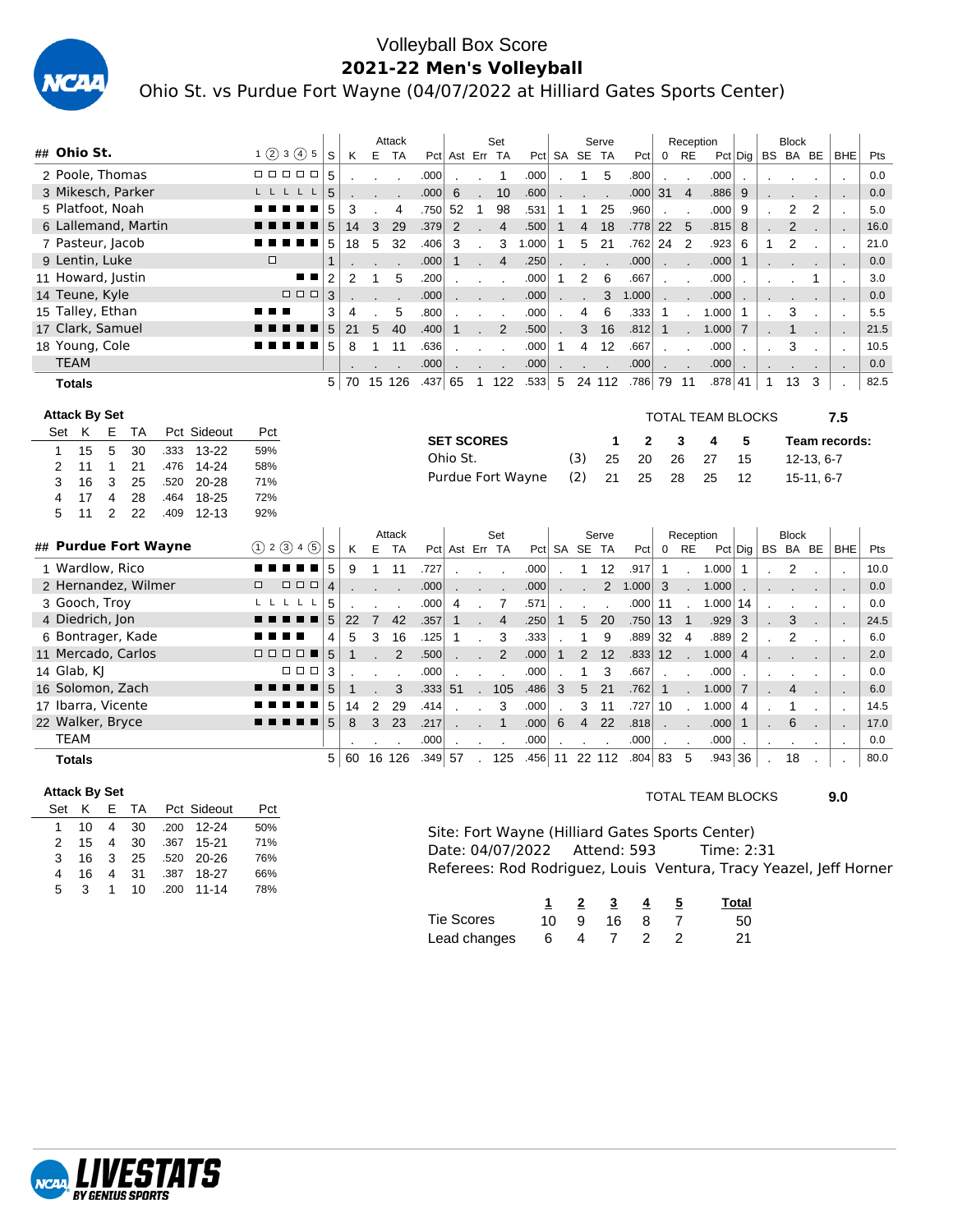

### Volleyball Box Score **2021-22 Men's Volleyball**

Ohio St. vs Purdue Fort Wayne (04/07/2022 at Hilliard Gates Sports Center)

|                                                |                                                                                                                      |                |                | Attack         |          |                   |                          | Set            |                   |              |                  | Serve          |                   |                | Reception                |                                                                   |                |              | <b>Block</b> |            |                |      |
|------------------------------------------------|----------------------------------------------------------------------------------------------------------------------|----------------|----------------|----------------|----------|-------------------|--------------------------|----------------|-------------------|--------------|------------------|----------------|-------------------|----------------|--------------------------|-------------------------------------------------------------------|----------------|--------------|--------------|------------|----------------|------|
| ## Ohio St.                                    | $1$ (2) 3 (4) 5<br>S                                                                                                 | Κ              | Е              | - TA           |          | Pct Ast Err TA    |                          |                |                   |              | Pct SA SE TA     |                | Pct               |                | $0$ RE                   |                                                                   | $Pct  $ Dig    |              | BS BA BE     |            | <b>BHE</b>     | Pts  |
| 2 Poole. Thomas                                | 00000<br>5                                                                                                           |                |                |                | .000     |                   |                          | $\mathbf{1}$   | .000              |              | 1                | 5              | .800              | $\cdot$        |                          | .000                                                              | $\cdot$        |              |              |            | $\cdot$        | 0.0  |
| 3 Mikesch, Parker                              | LLLLL<br>5                                                                                                           |                |                |                | .000     | 6                 | ÷.                       | 10             | .600              |              |                  |                | .000              | 31             | $\overline{4}$           | .886                                                              | 9              |              |              |            | ÷,             | 0.0  |
| 5 Platfoot, Noah                               | 5                                                                                                                    | 3              |                | 4              | .750     | 52                | $\mathbf{1}$             | 98             | .531              | 1            | 1                | 25             | .960              |                |                          | .000                                                              | 9              |              | 2            | 2          | $\cdot$        | 5.0  |
| 6 Lallemand, Martin                            | 5                                                                                                                    | 14             | 3              | 29             | .379     | $\overline{2}$    |                          | $\overline{4}$ | .500              | $\mathbf{1}$ | $\overline{4}$   | 18             | .778              | 22             | 5                        | .815                                                              | 8              |              | 2            |            | $\blacksquare$ | 16.0 |
| 7 Pasteur, Jacob                               | 5                                                                                                                    | 18             | 5              | 32             | .406     | 3                 |                          | 3              | 1.000             | 1            | 5                | 21             | .762              | 24             | $\overline{2}$           | .923                                                              | 6              | 1            | 2            |            | $\cdot$        | 21.0 |
| 9 Lentin, Luke                                 | $\Box$<br>$\mathbf{1}$                                                                                               |                |                |                | .000     | $\mathbf{1}$      |                          | $\overline{4}$ | .250              |              |                  |                | .000              |                |                          | .000                                                              | $\mathbf{1}$   |              |              |            |                | 0.0  |
| 11 Howard, Justin                              | $\overline{2}$<br>■                                                                                                  | 2              | $\mathbf{1}$   | 5              | .200     |                   | $\overline{\phantom{a}}$ |                | .000              | $\mathbf{1}$ | $\overline{2}$   | 6              | .667              |                |                          | .000                                                              |                |              |              | 1          | $\cdot$        | 3.0  |
| 14 Teune, Kyle                                 | 3<br>0 0 0                                                                                                           |                |                |                | .000     |                   |                          |                | .000              |              |                  | 3              | 1.000             |                |                          | .000                                                              |                |              |              |            |                | 0.0  |
| 15 Talley, Ethan                               | 3                                                                                                                    | 4              |                | 5              | .800     |                   |                          |                | .000              |              | 4                | 6              | .333              | 1              |                          | 1.000                                                             | 1              |              | 3            |            | $\cdot$        | 5.5  |
| 17 Clark, Samuel                               | 5                                                                                                                    | 21             | 5              | 40             | .400     | 1                 |                          | $\overline{2}$ | .500              |              | 3                | 16             | .812              | $\mathbf{1}$   |                          | 1.000                                                             | $\overline{7}$ |              | 1            |            | $\sim$         | 21.5 |
| 18 Young, Cole                                 | 5                                                                                                                    | 8              | 1              | 11             | .636     |                   | $\cdot$                  | $\blacksquare$ | .000              | 1            | 4                | 12             | .667              | $\blacksquare$ |                          | .000                                                              |                |              | 3            |            | $\cdot$        | 10.5 |
| <b>TEAM</b>                                    |                                                                                                                      |                |                |                | .000     |                   |                          |                | .000              |              |                  |                | .000              |                |                          | .000                                                              | $\cdot$        |              |              |            |                | 0.0  |
| <b>Totals</b>                                  | 5                                                                                                                    | 70             | 15 126         |                | .437 65  |                   |                          | 1 122          | .533              | 5            |                  | 24 112         | .786 79 11        |                |                          | .878 41                                                           |                | $\mathbf{1}$ | 13           | 3          |                | 82.5 |
| <b>Attack By Set</b>                           |                                                                                                                      |                |                |                |          |                   |                          |                |                   |              |                  |                |                   |                |                          | TOTAL TEAM BLOCKS                                                 |                |              |              |            | 7.5            |      |
| Pct Sideout<br>K<br>Е<br>ТA<br>Set             | Pct                                                                                                                  |                |                |                |          |                   |                          |                |                   |              |                  |                |                   |                |                          |                                                                   |                |              |              |            |                |      |
| 5<br>13-22<br>15<br>30<br>$\mathbf{1}$<br>.333 | 59%                                                                                                                  |                |                |                |          | <b>SET SCORES</b> |                          |                |                   |              |                  | 1              | 2                 |                | 3                        | 4                                                                 | 5              |              |              |            | Team records:  |      |
| 2<br>1<br>21<br>.476<br>14-24<br>11            | 58%                                                                                                                  |                |                |                |          | Ohio St.          |                          |                |                   |              | (3)              | 25             | 20                |                | 26                       | 27                                                                | 15             |              |              | 12-13, 6-7 |                |      |
| 3<br>3<br>25<br>$20 - 28$<br>.520<br>16        | 71%                                                                                                                  |                |                |                |          |                   |                          |                | Purdue Fort Wayne |              | (2)              | 21             | 25                |                | 28                       | 25                                                                | 12             |              |              | 15-11, 6-7 |                |      |
| 28<br>4<br>18-25<br>4<br>17<br>.464            | 72%                                                                                                                  |                |                |                |          |                   |                          |                |                   |              |                  |                |                   |                |                          |                                                                   |                |              |              |            |                |      |
| 2<br>22<br>$12 - 13$<br>5<br>11<br>.409        | 92%                                                                                                                  |                |                |                |          |                   |                          |                |                   |              |                  |                |                   |                |                          |                                                                   |                |              |              |            |                |      |
|                                                |                                                                                                                      |                |                | Attack         |          |                   |                          | Set            |                   |              |                  | Serve          |                   |                | Reception                |                                                                   |                |              | <b>Block</b> |            |                |      |
| ## Purdue Fort Wayne                           | (1) 2 (3) 4 (5)<br>S                                                                                                 | Κ              | E TA           |                |          | Pct Ast Err TA    |                          |                |                   |              | Pct SA SE TA     |                | Pct               | $\overline{0}$ | <b>RE</b>                |                                                                   | $Pct  $ Dig    |              | BS BA BE     |            | BHE            | Pts  |
| 1 Wardlow, Rico                                | 5                                                                                                                    | 9              | 1              | 11             | .727     |                   |                          |                | .000              |              | 1                | 12             | .917              | $\mathbf{1}$   |                          | 1.000                                                             | $\mathbf{1}$   |              | 2            |            |                | 10.0 |
| 2 Hernandez, Wilmer                            | $\Box$ $\Box$ $\Box$<br>$\overline{\mathbf{4}}$<br>□                                                                 |                |                |                | .000     |                   |                          |                | .000              |              |                  | $\overline{2}$ | 1.000             | 3              |                          | 1.000                                                             |                |              |              |            | ٠.             | 0.0  |
| 3 Gooch, Troy                                  | 5<br>L<br>L.<br>L,                                                                                                   |                |                |                | .000     | 4                 | $\cdot$                  | 7              | .571              |              |                  | $\mathbf{r}$   | .000              | 11             | $\cdot$                  | 1.000                                                             | 14             |              |              |            | $\cdot$        | 0.0  |
| 4 Diedrich, Jon                                | 5                                                                                                                    | 22             | $\overline{7}$ | 42             | .357     | 1                 |                          | $\overline{4}$ | .250              | $\mathbf{1}$ | 5                | 20             | .750              | 13             | $\overline{1}$           | .929                                                              | 3              |              | 3            |            |                | 24.5 |
| 6 Bontrager, Kade                              | 4                                                                                                                    | 5              | 3              | 16             | .125     | 1                 |                          | 3              | .333              |              | 1                | 9              | .889              | 32             | $\overline{4}$           | .889                                                              | 2              |              | 2            |            | $\cdot$        | 6.0  |
| 11 Mercado, Carlos                             | 5<br>$\begin{array}{cccccccccccccc} \square & \square & \square & \square & \blacksquare & \blacksquare \end{array}$ | $\mathbf{1}$   |                | $\overline{2}$ | .500     |                   |                          | 2              | .000              | $\mathbf{1}$ | 2                | 12             | .833              | 12             |                          | 1.000                                                             | 4              |              |              |            | ٠.             | 2.0  |
| 14 Glab, KJ                                    | <b>000</b><br>3                                                                                                      |                |                |                | .000     |                   |                          |                | .000              |              | $\mathbf{1}$     | 3              | .667              |                |                          | .000                                                              |                |              |              |            | $\cdot$        | 0.0  |
| 16 Solomon, Zach                               | 5                                                                                                                    | $\mathbf{1}$   |                | 3              | .333     | 51                |                          | 105            | .486              | 3            | 5                | 21             | .762              | $\mathbf{1}$   |                          | 1.000                                                             | $\overline{7}$ |              | 4            |            |                | 6.0  |
| 17 Ibarra, Vicente                             | 5                                                                                                                    | 14             | 2              | 29             | .414     |                   |                          | 3              | .000              |              | 3                | 11             | .727              | 10             | $\overline{\phantom{a}}$ | 1.000                                                             | 4              |              | 1            |            | $\cdot$        | 14.5 |
| 22 Walker, Bryce                               | 5                                                                                                                    | 8              | 3              | 23             | .217     |                   |                          | $\mathbf{1}$   | .000              | 6            | $\overline{4}$   | 22             | .818              |                |                          | .000                                                              | $\mathbf{1}$   |              | 6            |            |                | 17.0 |
| TEAM                                           |                                                                                                                      |                |                |                | .000     |                   |                          |                | .000              |              |                  |                | .000              |                |                          | .000                                                              |                |              |              |            | $\cdot$        | 0.0  |
| <b>Totals</b>                                  |                                                                                                                      | 5 <sup>1</sup> | 60 16 126      |                | .349  57 |                   |                          | 125            | .456              |              |                  | 11 22 112      | $.804 \,   \, 83$ |                | -5                       | .943 36                                                           |                |              | 18           |            |                | 80.0 |
| <b>Attack By Set</b>                           |                                                                                                                      |                |                |                |          |                   |                          |                |                   |              |                  |                |                   |                |                          | <b>TOTAL TEAM BLOCKS</b>                                          |                |              |              |            |                |      |
| Set K E<br>Pct Sideout<br>TA                   | Pct                                                                                                                  |                |                |                |          |                   |                          |                |                   |              |                  |                |                   |                |                          |                                                                   |                |              |              |            | 9.0            |      |
| $1 \quad 10 \quad 4$<br>30<br>.200 12-24       | 50%                                                                                                                  |                |                |                |          |                   |                          |                |                   |              |                  |                |                   |                |                          |                                                                   |                |              |              |            |                |      |
| .367 15-21<br>2<br>30<br>15<br>4               | 71%                                                                                                                  |                |                |                |          |                   |                          |                |                   |              |                  |                |                   |                |                          | Site: Fort Wayne (Hilliard Gates Sports Center)                   |                |              |              |            |                |      |
| .520 20-26<br>3<br>16<br>25<br>3               | 76%                                                                                                                  |                |                |                |          |                   |                          |                | Date: 04/07/2022  |              |                  |                | Attend: 593       |                |                          | Time: 2:31                                                        |                |              |              |            |                |      |
| .387 18-27<br>4<br>31<br>4<br>16               | 66%                                                                                                                  |                |                |                |          |                   |                          |                |                   |              |                  |                |                   |                |                          | Referees: Rod Rodriguez, Louis Ventura, Tracy Yeazel, Jeff Horner |                |              |              |            |                |      |
| 5<br>3<br>$\mathbf{1}$<br>10<br>.200 11-14     | 78%                                                                                                                  |                |                |                |          |                   |                          |                |                   |              |                  |                |                   |                |                          |                                                                   |                |              |              |            |                |      |
|                                                |                                                                                                                      |                |                |                |          |                   |                          |                | 1                 |              | $\overline{2}$   | $\overline{3}$ | $\overline{4}$    |                | $\overline{5}$           |                                                                   | <b>Total</b>   |              |              |            |                |      |
|                                                |                                                                                                                      |                |                |                |          | <b>Tie Scores</b> |                          |                | 10                |              | $\boldsymbol{9}$ | 16             | 8                 |                | $\overline{7}$           |                                                                   | 50             |              |              |            |                |      |
|                                                |                                                                                                                      |                |                |                |          | Lead changes      |                          |                |                   | 6            | 4                | $\overline{7}$ | 2                 |                | $\overline{c}$           |                                                                   | 21             |              |              |            |                |      |

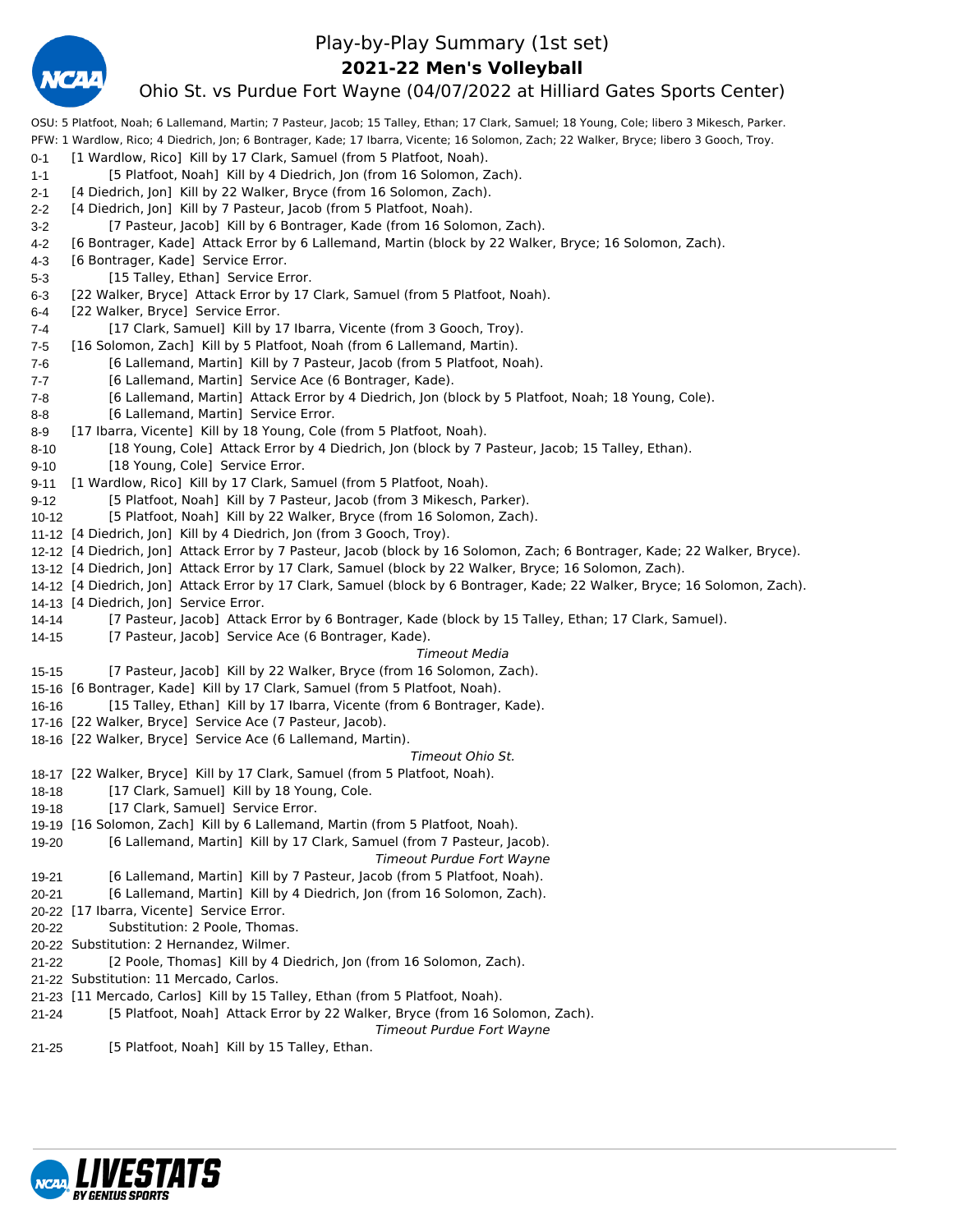

### Play-by-Play Summary (1st set)

**2021-22 Men's Volleyball**

### Ohio St. vs Purdue Fort Wayne (04/07/2022 at Hilliard Gates Sports Center)

OSU: 5 Platfoot, Noah; 6 Lallemand, Martin; 7 Pasteur, Jacob; 15 Talley, Ethan; 17 Clark, Samuel; 18 Young, Cole; libero 3 Mikesch, Parker. PFW: 1 Wardlow, Rico; 4 Diedrich, Jon; 6 Bontrager, Kade; 17 Ibarra, Vicente; 16 Solomon, Zach; 22 Walker, Bryce; libero 3 Gooch, Troy. 0-1 [1 Wardlow, Rico] Kill by 17 Clark, Samuel (from 5 Platfoot, Noah). 1-1 [5 Platfoot, Noah] Kill by 4 Diedrich, Jon (from 16 Solomon, Zach). 2-1 [4 Diedrich, Jon] Kill by 22 Walker, Bryce (from 16 Solomon, Zach). 2-2 [4 Diedrich, Jon] Kill by 7 Pasteur, Jacob (from 5 Platfoot, Noah). 3-2 [7 Pasteur, Jacob] Kill by 6 Bontrager, Kade (from 16 Solomon, Zach). 4-2 [6 Bontrager, Kade] Attack Error by 6 Lallemand, Martin (block by 22 Walker, Bryce; 16 Solomon, Zach). 4-3 [6 Bontrager, Kade] Service Error. 5-3 [15 Talley, Ethan] Service Error. 6-3 [22 Walker, Bryce] Attack Error by 17 Clark, Samuel (from 5 Platfoot, Noah). 6-4 [22 Walker, Bryce] Service Error. 7-4 [17 Clark, Samuel] Kill by 17 Ibarra, Vicente (from 3 Gooch, Troy). 7-5 [16 Solomon, Zach] Kill by 5 Platfoot, Noah (from 6 Lallemand, Martin). 7-6 [6 Lallemand, Martin] Kill by 7 Pasteur, Jacob (from 5 Platfoot, Noah). 7-7 [6 Lallemand, Martin] Service Ace (6 Bontrager, Kade). 7-8 [6 Lallemand, Martin] Attack Error by 4 Diedrich, Jon (block by 5 Platfoot, Noah; 18 Young, Cole). 8-8 [6 Lallemand, Martin] Service Error. 8-9 [17 Ibarra, Vicente] Kill by 18 Young, Cole (from 5 Platfoot, Noah). 8-10 [18 Young, Cole] Attack Error by 4 Diedrich, Jon (block by 7 Pasteur, Jacob; 15 Talley, Ethan). 9-10 [18 Young, Cole] Service Error. 9-11 [1 Wardlow, Rico] Kill by 17 Clark, Samuel (from 5 Platfoot, Noah). 9-12 [5 Platfoot, Noah] Kill by 7 Pasteur, Jacob (from 3 Mikesch, Parker). 10-12 [5 Platfoot, Noah] Kill by 22 Walker, Bryce (from 16 Solomon, Zach). 11-12 [4 Diedrich, Jon] Kill by 4 Diedrich, Jon (from 3 Gooch, Troy). 12-12 [4 Diedrich, Jon] Attack Error by 7 Pasteur, Jacob (block by 16 Solomon, Zach; 6 Bontrager, Kade; 22 Walker, Bryce). 13-12 [4 Diedrich, Jon] Attack Error by 17 Clark, Samuel (block by 22 Walker, Bryce; 16 Solomon, Zach). 14-12 [4 Diedrich, Jon] Attack Error by 17 Clark, Samuel (block by 6 Bontrager, Kade; 22 Walker, Bryce; 16 Solomon, Zach). 14-13 [4 Diedrich, Jon] Service Error. 14-14 [7 Pasteur, Jacob] Attack Error by 6 Bontrager, Kade (block by 15 Talley, Ethan; 17 Clark, Samuel). 14-15 [7 Pasteur, Jacob] Service Ace (6 Bontrager, Kade). *Timeout Media* 15-15 [7 Pasteur, Jacob] Kill by 22 Walker, Bryce (from 16 Solomon, Zach). 15-16 [6 Bontrager, Kade] Kill by 17 Clark, Samuel (from 5 Platfoot, Noah). 16-16 [15 Talley, Ethan] Kill by 17 Ibarra, Vicente (from 6 Bontrager, Kade). 17-16 [22 Walker, Bryce] Service Ace (7 Pasteur, Jacob). 18-16 [22 Walker, Bryce] Service Ace (6 Lallemand, Martin). *Timeout Ohio St.* 18-17 [22 Walker, Bryce] Kill by 17 Clark, Samuel (from 5 Platfoot, Noah). 18-18 [17 Clark, Samuel] Kill by 18 Young, Cole. 19-18 [17 Clark, Samuel] Service Error. 19-19 [16 Solomon, Zach] Kill by 6 Lallemand, Martin (from 5 Platfoot, Noah). 19-20 [6 Lallemand, Martin] Kill by 17 Clark, Samuel (from 7 Pasteur, Jacob). *Timeout Purdue Fort Wayne* 19-21 [6 Lallemand, Martin] Kill by 7 Pasteur, Jacob (from 5 Platfoot, Noah). 20-21 [6 Lallemand, Martin] Kill by 4 Diedrich, Jon (from 16 Solomon, Zach). 20-22 [17 Ibarra, Vicente] Service Error. 20-22 Substitution: 2 Poole, Thomas. 20-22 Substitution: 2 Hernandez, Wilmer. 21-22 [2 Poole, Thomas] Kill by 4 Diedrich, Jon (from 16 Solomon, Zach). 21-22 Substitution: 11 Mercado, Carlos. 21-23 [11 Mercado, Carlos] Kill by 15 Talley, Ethan (from 5 Platfoot, Noah). 21-24 [5 Platfoot, Noah] Attack Error by 22 Walker, Bryce (from 16 Solomon, Zach). *Timeout Purdue Fort Wayne* 21-25 [5 Platfoot, Noah] Kill by 15 Talley, Ethan.

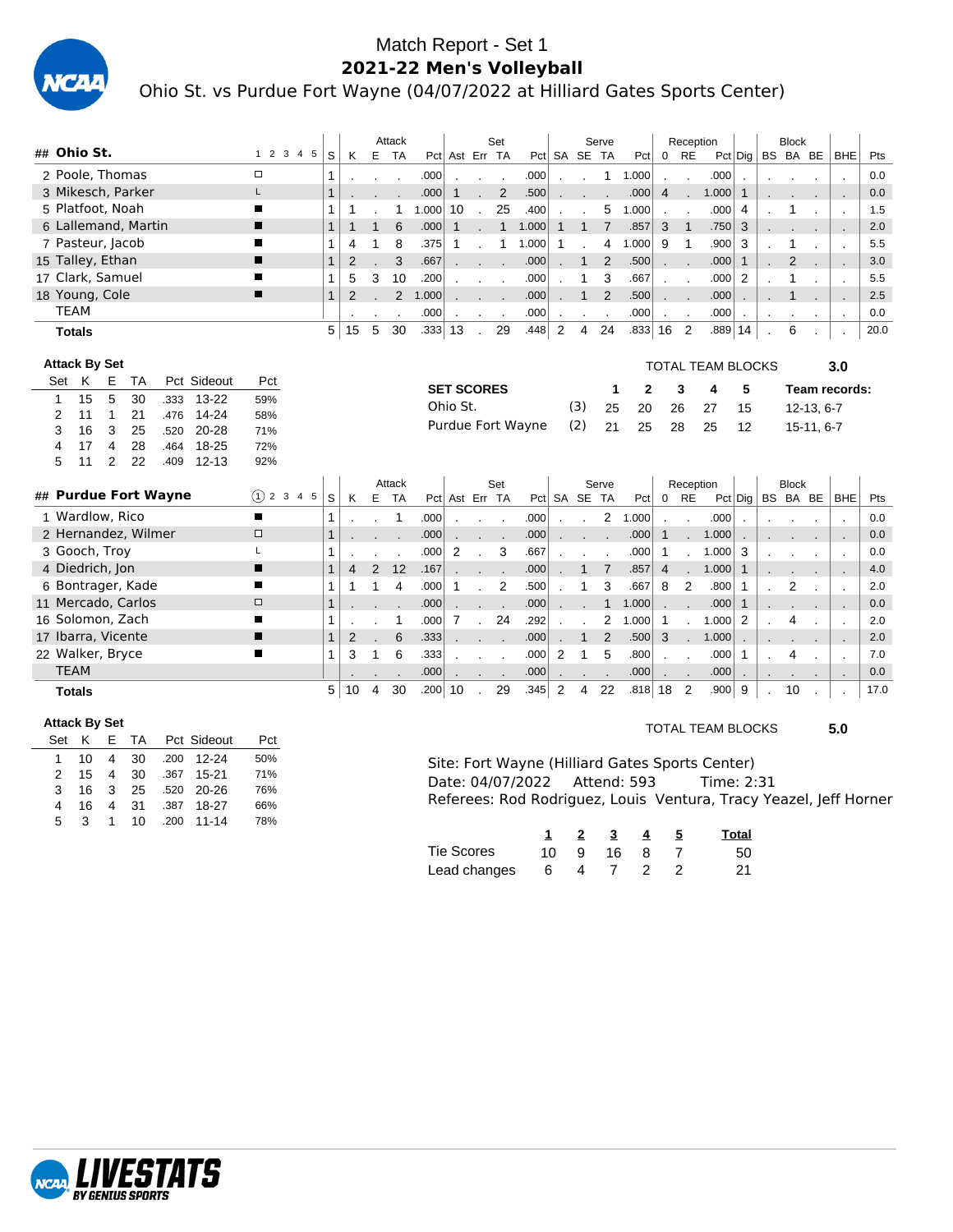

### Match Report - Set 1 **2021-22 Men's Volleyball** Ohio St. vs Purdue Fort Wayne (04/07/2022 at Hilliard Gates Sports Center)

|                                                      |               |              |                |                | Attack         |          |                   |              | Set            |                   |                |              | Serve          |       |                | Reception      |                          |                |           | <b>Block</b>   |              |                          |      |
|------------------------------------------------------|---------------|--------------|----------------|----------------|----------------|----------|-------------------|--------------|----------------|-------------------|----------------|--------------|----------------|-------|----------------|----------------|--------------------------|----------------|-----------|----------------|--------------|--------------------------|------|
| ## Ohio St.                                          | 1 2 3 4 5     | S            | K              |                | E TA           |          | Pct Ast Err TA    |              |                |                   |                | Pct SA SE TA |                | Pct   | $\mathbf{0}$   | <b>RE</b>      |                          | $Pct$ Dig      |           |                | BS BA BE     | <b>BHE</b>               | Pts  |
| 2 Poole, Thomas                                      | $\Box$        | 1            |                |                |                | .000     |                   |              |                | .000              |                |              | 1              | 1.000 |                |                | .000                     |                |           |                |              |                          | 0.0  |
| 3 Mikesch, Parker                                    | L             |              |                |                |                | .000     | 1                 |              | $\overline{2}$ | .500              |                |              |                | .000  | $\overline{4}$ |                | 1.000                    | $\mathbf{1}$   |           |                |              |                          | 0.0  |
| 5 Platfoot, Noah                                     | ■             | 1            | 1              |                | 1              | 1.000    | 10                |              | 25             | .400              |                |              | 5              | 1.000 |                |                | .000                     | 4              |           | 1              |              |                          | 1.5  |
| 6 Lallemand, Martin                                  | п             | $\mathbf{1}$ | $\mathbf{1}$   | 1              | 6              | .000     | 1                 |              | $\mathbf{1}$   | 1.000             | 1              | 1            | $\overline{7}$ | .857  | 3              | $\mathbf{1}$   | .750                     | 3              |           |                |              |                          | 2.0  |
| 7 Pasteur, Jacob                                     | п             | $\mathbf 1$  | 4              | 1              | 8              | .375     | 1                 |              | 1              | 1.000             | 1              |              | 4              | 1.000 | 9              | 1              | .900                     | 3              |           | 1              |              |                          | 5.5  |
| 15 Talley, Ethan                                     |               | $\mathbf{1}$ | $\overline{2}$ |                | 3              | .667     |                   |              |                | .000              |                | $\mathbf{1}$ | $\overline{2}$ | .500  |                |                | .000                     | $\mathbf{1}$   |           | $\overline{2}$ |              |                          | 3.0  |
| 17 Clark, Samuel                                     | ■             | 1            | 5              | 3              | 10             | .200     |                   |              |                | .000              |                | 1            | 3              | .667  |                |                | .000                     | $\overline{2}$ |           | 1              |              |                          | 5.5  |
| 18 Young, Cole                                       | п             | $\mathbf{1}$ | $\overline{2}$ |                | $\overline{2}$ | 1.000    |                   |              |                | .000              |                | $\mathbf{1}$ | 2              | .500  |                |                | .000                     |                |           | $\mathbf{1}$   |              |                          | 2.5  |
| <b>TEAM</b>                                          |               |              |                |                |                | .000     |                   |              | $\sim$         | .000              | $\cdot$        |              | $\blacksquare$ | .000  | $\epsilon$     | $\blacksquare$ | .000                     | $\cdot$        | $\bullet$ | $\cdot$        | $\bullet$    | $\cdot$                  | 0.0  |
| <b>Totals</b>                                        |               | 5            | 15             | 5              | 30             | .333  13 |                   |              | 29             | .448              | 2              | 4            | 24             | .833  | 16             | $\overline{2}$ | .889                     | 14             |           | 6              |              |                          | 20.0 |
|                                                      |               |              |                |                |                |          |                   |              |                |                   |                |              |                |       |                |                |                          |                |           |                |              |                          |      |
| <b>Attack By Set</b>                                 |               |              |                |                |                |          |                   |              |                |                   |                |              |                |       |                |                | <b>TOTAL TEAM BLOCKS</b> |                |           |                |              | 3.0                      |      |
| K<br>Pct Sideout<br>Set<br>Ε<br><b>TA</b>            | Pct           |              |                |                |                |          | <b>SET SCORES</b> |              |                |                   |                |              | 1              | 2     |                | 3              | 4                        | 5              |           |                |              | Team records:            |      |
| 15<br>5<br>30<br>$13 - 22$<br>.333<br>1              | 59%           |              |                |                |                |          | Ohio St.          |              |                |                   |                | (3)          | 25             | 20    |                | 26             | 27                       | 15             |           |                | $12-13, 6-7$ |                          |      |
| $\mathbf{1}$<br>21<br>.476<br>14-24<br>2<br>11       | 58%           |              |                |                |                |          |                   |              |                |                   |                |              |                |       |                |                |                          |                |           |                |              |                          |      |
| 3<br>16<br>25<br>.520<br>20-28<br>3                  | 71%           |              |                |                |                |          |                   |              |                | Purdue Fort Wayne |                | (2)          | 21             | 25    |                | 28             | 25                       | 12             |           |                | $15-11, 6-7$ |                          |      |
| $\overline{4}$<br>28<br>18-25<br>17<br>.464<br>4     | 72%           |              |                |                |                |          |                   |              |                |                   |                |              |                |       |                |                |                          |                |           |                |              |                          |      |
| 5<br>$\overline{2}$<br>22<br>$12 - 13$<br>11<br>.409 | 92%           |              |                |                |                |          |                   |              |                |                   |                |              |                |       |                |                |                          |                |           |                |              |                          |      |
|                                                      |               |              |                |                | Attack         |          |                   |              | Set            |                   |                |              | Serve          |       |                | Reception      |                          |                |           | <b>Block</b>   |              |                          |      |
| ## Purdue Fort Wayne                                 | $(1)$ 2 3 4 5 | S            | Κ              | E              | <b>TA</b>      |          | Pct Ast Err TA    |              |                |                   |                | Pct SA SE TA |                | Pct   | $\mathbf 0$    | <b>RE</b>      |                          | $Pct $ Dig     |           |                | BS BA BE     | <b>BHE</b>               | Pts  |
| 1 Wardlow, Rico                                      | ∎             | 1            |                |                | 1              | .000     |                   |              |                | .000              |                |              | 2              | 1.000 |                |                | .000                     |                |           |                |              |                          | 0.0  |
| 2 Hernandez, Wilmer                                  | $\Box$        | $\mathbf{1}$ |                |                |                | .000     |                   |              |                | .000              |                |              |                | .000  | $\mathbf{1}$   |                | 1.000                    |                |           |                |              |                          | 0.0  |
| 3 Gooch, Troy                                        |               | 1            |                |                |                | .000     | 2                 |              | 3              | .667              |                |              |                | .000  | 1              |                | 1.000                    | 3              |           |                |              | $\overline{\phantom{a}}$ | 0.0  |
| 4 Diedrich, Jon                                      | ■             |              | 4              | $\overline{2}$ | 12             | .167     |                   |              |                | .000              |                | 1            | $\overline{7}$ | .857  | $\overline{4}$ |                | 1.000                    | $\mathbf{1}$   |           |                |              | ٠.                       | 4.0  |
| 6 Bontrager, Kade                                    | ▬             | $\mathbf{1}$ | 1              | 1              | $\overline{4}$ | .000     | 1                 |              | $\overline{2}$ | .500              |                |              | 3              | .667  | 8              | $\overline{2}$ | .800                     | 1              |           | $\overline{2}$ |              |                          | 2.0  |
| 11 Mercado, Carlos                                   | $\Box$        | $\mathbf{1}$ |                |                |                | .000     |                   |              |                | .000              |                |              | $\mathbf{1}$   | 1.000 |                |                | .000                     | $\mathbf{1}$   |           |                |              |                          | 0.0  |
| 16 Solomon, Zach                                     | ■             | 1            |                |                | 1              | .000     | 7                 | $\mathbf{r}$ | 24             | .292              |                |              | $\overline{2}$ | 1.000 | 1              |                | 1.000                    | 2              |           | 4              |              |                          | 2.0  |
| 17 Ibarra, Vicente                                   | ▪             | $\mathbf{1}$ | $\overline{2}$ |                | 6              | .333     |                   |              |                | .000              |                | 1            | $\overline{2}$ | .500  | 3              |                | 1.000                    |                |           |                |              |                          | 2.0  |
| 22 Walker, Bryce                                     | п             | $\mathbf 1$  | 3              | 1              | 6              | .333     |                   |              |                | .000              | 2              | 1            | 5              | .800  |                |                | .000                     | 1              |           | 4              |              |                          | 7.0  |
| <b>TEAM</b>                                          |               |              |                |                |                | .000     |                   |              |                | .000              |                |              |                | .000  |                |                | .000                     |                |           |                |              |                          | 0.0  |
| <b>Totals</b>                                        |               | 5            | 10             | 4              | 30             | .200 10  |                   |              | 29             | .345              | $\overline{2}$ | 4            | 22             | .818  | 18             | $\overline{2}$ | .900                     | 9              |           | 10             |              |                          | 17.0 |

### **Attack By Set**

| Set | ĸ   |              |  | E TA Pct Sideout | Pct |
|-----|-----|--------------|--|------------------|-----|
| 1.  | 10. |              |  | 4 30 .200 12-24  | 50% |
| 2.  | 15  |              |  | 4 30 .367 15-21  | 71% |
| 3   | 16. |              |  | 3 25 .520 20-26  | 76% |
| 4   | 16  | 4            |  | 31 .387 18-27    | 66% |
| 5   | 3   | $\mathbf{1}$ |  | 10 .200 11-14    | 78% |

### TOTAL TEAM BLOCKS **5.0**

Site: Fort Wayne (Hilliard Gates Sports Center) Date: 04/07/2022 Attend: 593 Time: 2:31 Referees: Rod Rodriguez, Louis Ventura, Tracy Yeazel, Jeff Horner

|              |      | 2 | $\overline{\mathbf{3}}$ | -4 | Total |
|--------------|------|---|-------------------------|----|-------|
| Tie Scores   | 10 I | 9 | - 16 -                  | -8 | 50    |
| Lead changes | - 6  | 4 |                         |    | 21    |

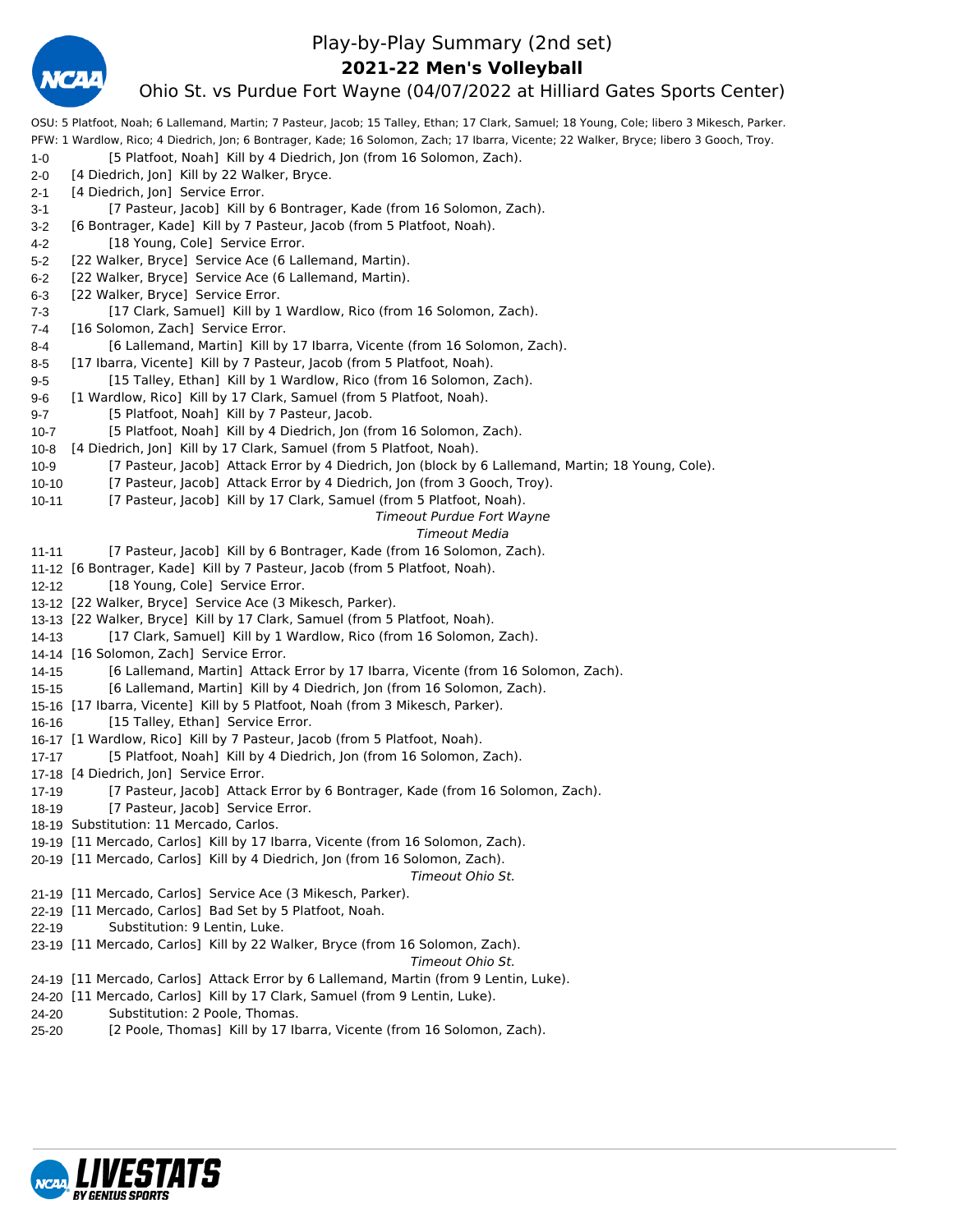

### Play-by-Play Summary (2nd set)

### **2021-22 Men's Volleyball**

### Ohio St. vs Purdue Fort Wayne (04/07/2022 at Hilliard Gates Sports Center)

OSU: 5 Platfoot, Noah; 6 Lallemand, Martin; 7 Pasteur, Jacob; 15 Talley, Ethan; 17 Clark, Samuel; 18 Young, Cole; libero 3 Mikesch, Parker. PFW: 1 Wardlow, Rico; 4 Diedrich, Jon; 6 Bontrager, Kade; 16 Solomon, Zach; 17 Ibarra, Vicente; 22 Walker, Bryce; libero 3 Gooch, Troy. 1-0 [5 Platfoot, Noah] Kill by 4 Diedrich, Jon (from 16 Solomon, Zach). 2-0 [4 Diedrich, Jon] Kill by 22 Walker, Bryce. 2-1 [4 Diedrich, Jon] Service Error. 3-1 [7 Pasteur, Jacob] Kill by 6 Bontrager, Kade (from 16 Solomon, Zach). 3-2 [6 Bontrager, Kade] Kill by 7 Pasteur, Jacob (from 5 Platfoot, Noah). 4-2 [18 Young, Cole] Service Error. 5-2 [22 Walker, Bryce] Service Ace (6 Lallemand, Martin). 6-2 [22 Walker, Bryce] Service Ace (6 Lallemand, Martin). 6-3 [22 Walker, Bryce] Service Error. 7-3 [17 Clark, Samuel] Kill by 1 Wardlow, Rico (from 16 Solomon, Zach). 7-4 [16 Solomon, Zach] Service Error. 8-4 [6 Lallemand, Martin] Kill by 17 Ibarra, Vicente (from 16 Solomon, Zach). 8-5 [17 Ibarra, Vicente] Kill by 7 Pasteur, Jacob (from 5 Platfoot, Noah). 9-5 [15 Talley, Ethan] Kill by 1 Wardlow, Rico (from 16 Solomon, Zach). 9-6 [1 Wardlow, Rico] Kill by 17 Clark, Samuel (from 5 Platfoot, Noah). 9-7 [5 Platfoot, Noah] Kill by 7 Pasteur, Jacob. 10-7 [5 Platfoot, Noah] Kill by 4 Diedrich, Jon (from 16 Solomon, Zach). 10-8 [4 Diedrich, Jon] Kill by 17 Clark, Samuel (from 5 Platfoot, Noah). 10-9 [7 Pasteur, Jacob] Attack Error by 4 Diedrich, Jon (block by 6 Lallemand, Martin; 18 Young, Cole). 10-10 [7 Pasteur, Jacob] Attack Error by 4 Diedrich, Jon (from 3 Gooch, Troy). 10-11 [7 Pasteur, Jacob] Kill by 17 Clark, Samuel (from 5 Platfoot, Noah). *Timeout Purdue Fort Wayne Timeout Media* 11-11 [7 Pasteur, Jacob] Kill by 6 Bontrager, Kade (from 16 Solomon, Zach). 11-12 [6 Bontrager, Kade] Kill by 7 Pasteur, Jacob (from 5 Platfoot, Noah). 12-12 [18 Young, Cole] Service Error. 13-12 [22 Walker, Bryce] Service Ace (3 Mikesch, Parker). 13-13 [22 Walker, Bryce] Kill by 17 Clark, Samuel (from 5 Platfoot, Noah). 14-13 [17 Clark, Samuel] Kill by 1 Wardlow, Rico (from 16 Solomon, Zach). 14-14 [16 Solomon, Zach] Service Error. 14-15 [6 Lallemand, Martin] Attack Error by 17 Ibarra, Vicente (from 16 Solomon, Zach). 15-15 [6 Lallemand, Martin] Kill by 4 Diedrich, Jon (from 16 Solomon, Zach). 15-16 [17 Ibarra, Vicente] Kill by 5 Platfoot, Noah (from 3 Mikesch, Parker). 16-16 [15 Talley, Ethan] Service Error. 16-17 [1 Wardlow, Rico] Kill by 7 Pasteur, Jacob (from 5 Platfoot, Noah). 17-17 [5 Platfoot, Noah] Kill by 4 Diedrich, Jon (from 16 Solomon, Zach). 17-18 [4 Diedrich, Jon] Service Error. 17-19 [7 Pasteur, Jacob] Attack Error by 6 Bontrager, Kade (from 16 Solomon, Zach). 18-19 [7 Pasteur, Jacob] Service Error. 18-19 Substitution: 11 Mercado, Carlos. 19-19 [11 Mercado, Carlos] Kill by 17 Ibarra, Vicente (from 16 Solomon, Zach). 20-19 [11 Mercado, Carlos] Kill by 4 Diedrich, Jon (from 16 Solomon, Zach). *Timeout Ohio St.* 21-19 [11 Mercado, Carlos] Service Ace (3 Mikesch, Parker). 22-19 [11 Mercado, Carlos] Bad Set by 5 Platfoot, Noah. 22-19 Substitution: 9 Lentin, Luke. 23-19 [11 Mercado, Carlos] Kill by 22 Walker, Bryce (from 16 Solomon, Zach). *Timeout Ohio St.* 24-19 [11 Mercado, Carlos] Attack Error by 6 Lallemand, Martin (from 9 Lentin, Luke). 24-20 [11 Mercado, Carlos] Kill by 17 Clark, Samuel (from 9 Lentin, Luke). 24-20 Substitution: 2 Poole, Thomas. 25-20 [2 Poole, Thomas] Kill by 17 Ibarra, Vicente (from 16 Solomon, Zach).

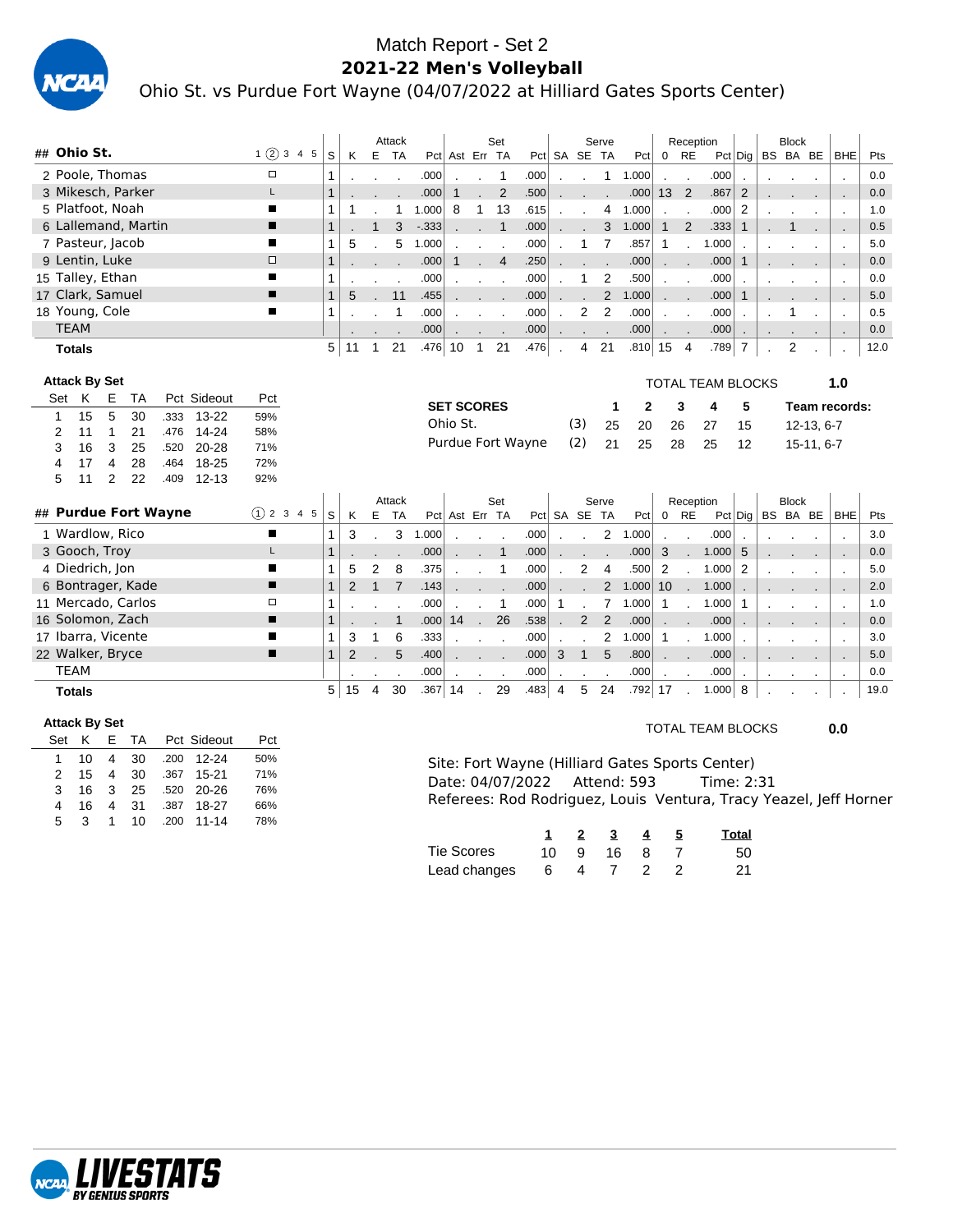

### Match Report - Set 2 **2021-22 Men's Volleyball** Ohio St. vs Purdue Fort Wayne (04/07/2022 at Hilliard Gates Sports Center)

|               |                      |   |                     |      |             |         |              |    | Attack  |         |                   |                             | Set            |                   |                            |                           | Serve        |              |                                                             | Reception                |                   |                 | <b>Block</b>  |              |                |      |
|---------------|----------------------|---|---------------------|------|-------------|---------|--------------|----|---------|---------|-------------------|-----------------------------|----------------|-------------------|----------------------------|---------------------------|--------------|--------------|-------------------------------------------------------------|--------------------------|-------------------|-----------------|---------------|--------------|----------------|------|
|               | ## Ohio St.          |   |                     |      |             | 1(2)345 | S            | K  | E TA    |         | Pct Ast Err TA    |                             |                |                   |                            |                           | Pct SA SE TA | Pct          |                                                             | $0$ RE                   |                   | $Pct  $ Dig $ $ | BS BA BE      |              | <b>BHE</b>     | Pts  |
|               |                      |   | 2 Poole, Thomas     |      |             | $\Box$  |              |    |         | .000    |                   |                             | -1             | .000              |                            |                           | $\mathbf{1}$ | 1.000        | $\mathcal{L}^{\mathcal{L}}$ and $\mathcal{L}^{\mathcal{L}}$ |                          | .000              |                 |               |              | $\cdot$        | 0.0  |
|               |                      |   | 3 Mikesch, Parker   |      |             |         |              |    |         | .000    | 1                 | $\mathcal{L}^{\mathcal{L}}$ | $\overline{2}$ | .500              |                            | $\mathbf{r} = \mathbf{r}$ | œ            | .000         | 13 <sup>2</sup>                                             |                          | .867              | $\overline{2}$  |               |              | $\mathbf{r}$   | 0.0  |
|               | 5 Platfoot, Noah     |   |                     |      |             | п       |              |    | 1       | 1.000   | 8                 | $\overline{1}$              | 13             | .615              |                            | $\sim$ $\sim$             |              | 4 1.000      | $\mathbf{r}$                                                | $\overline{\phantom{a}}$ | .000              | 2               |               |              | $\cdot$        | 1.0  |
|               |                      |   | 6 Lallemand, Martin |      |             | ▪       | $\mathbf{1}$ |    | 3       | $-.333$ |                   |                             |                | .000              |                            |                           | 3            | 1.000        | 1                                                           | 2                        | .333              |                 |               |              | $\sim$         | 0.5  |
|               |                      |   | 7 Pasteur, Jacob    |      |             |         |              | 5  | 5       | 1.000   |                   |                             |                | .000              |                            |                           |              | .857         | 1                                                           | $\cdot$                  | 1.000             |                 |               |              | $\blacksquare$ | 5.0  |
|               | 9 Lentin, Luke       |   |                     |      |             | $\Box$  |              |    |         | .000    | 1                 | $\sim$                      | $\overline{4}$ | .250              |                            |                           |              | .000         | $\mathcal{L}^{\text{max}}$ .                                |                          | .000              | $\overline{1}$  | $\sim$ $\sim$ |              | $\sim$         | 0.0  |
|               | 15 Talley, Ethan     |   |                     |      |             |         |              |    | $\cdot$ | .000    |                   |                             | $\sim$ $\sim$  | .000              | $\mathbf{r}$               |                           | 2            | .500         |                                                             | $\overline{\phantom{a}}$ | .000              | $\cdot$         |               |              | $\sim$         | 0.0  |
|               | 17 Clark, Samuel     |   |                     |      |             | п       |              | 5  | 11      | .455    |                   |                             | $\mathbf{r}$   | .000              |                            |                           | 2            | 1.000        | $\mathcal{L}^{\text{max}}$ .                                |                          | .000              | $\mathbf{1}$    |               |              | $\sim$         | 5.0  |
|               | 18 Young, Cole       |   |                     |      |             |         |              |    |         | .000    |                   | $\mathbf{r}$                | $\sim$         | .000              | $\sim$                     | $\overline{2}$            | 2            | .000         | $\mathbf{r}$                                                | $\cdot$                  | .000              | $\cdot$         |               |              | $\cdot$        | 0.5  |
| <b>TEAM</b>   |                      |   |                     |      |             |         |              |    |         | .000    |                   |                             |                | .000              | $\mathcal{L}^{\text{max}}$ |                           |              | .000         | $\mathcal{L}^{\text{max}}$ .                                |                          | .000              | $\cdot$         |               |              | $\sim$         | 0.0  |
| <b>Totals</b> |                      |   |                     |      |             |         | 5            | 11 | 21      | .476    | 10                | $\mathbf{1}$                | 21             | .476              |                            | $\overline{4}$            | 21           | $.810 $ 15   |                                                             | $\overline{4}$           | .789              | $\overline{7}$  | 2             |              |                | 12.0 |
|               |                      |   |                     |      |             |         |              |    |         |         |                   |                             |                |                   |                            |                           |              |              |                                                             |                          |                   |                 |               |              |                |      |
|               | <b>Attack By Set</b> |   |                     |      |             |         |              |    |         |         |                   |                             |                |                   |                            |                           |              |              |                                                             |                          | TOTAL TEAM BLOCKS |                 |               |              | 1.0            |      |
| Set K         |                      | E | TA                  |      | Pct Sideout | Pct     |              |    |         |         | <b>SET SCORES</b> |                             |                |                   |                            |                           | 1            | $\mathbf{2}$ |                                                             | 3                        | 4                 | 5               |               |              | Team records:  |      |
| 1             | 15                   | 5 | 30                  | .333 | $13 - 22$   | 59%     |              |    |         |         | Ohio St.          |                             |                |                   |                            | (3)                       | 25           | 20           | 26                                                          |                          | 27                | 15              |               |              |                |      |
| 2             | 11                   | 1 | 21                  | .476 | $14 - 24$   | 58%     |              |    |         |         |                   |                             |                |                   |                            |                           |              |              |                                                             |                          |                   |                 |               | $12-13, 6-7$ |                |      |
| 3             | 16                   | 3 | 25                  | .520 | 20-28       | 71%     |              |    |         |         |                   |                             |                | Purdue Fort Wayne |                            | (2)                       | 21           | 25           | 28                                                          |                          | 25                | 12              |               | 15-11, 6-7   |                |      |
| 4             | 17                   | 4 | 28                  | .464 | 18-25       | 72%     |              |    |         |         |                   |                             |                |                   |                            |                           |              |              |                                                             |                          |                   |                 |               |              |                |      |
| 5             | 11                   | 2 | 22                  | .409 | $12 - 13$   | 92%     |              |    |         |         |                   |                             |                |                   |                            |                           |              |              |                                                             |                          |                   |                 |               |              |                |      |

|                      |               |    |    |   | Attack         |      |                | Set |      |        |                | Serve         |       |    | Reception    |       |                 |              | <b>Block</b> |            |      |
|----------------------|---------------|----|----|---|----------------|------|----------------|-----|------|--------|----------------|---------------|-------|----|--------------|-------|-----------------|--------------|--------------|------------|------|
| ## Purdue Fort Wayne | $(1)$ 2 3 4 5 | S  | K. | Е | TA             |      | Pct Ast Err TA |     |      | Pct SA | SE TA          |               | Pct   | 0  | RE           |       | $Pct  $ Dig $ $ |              | BS BA BE     | <b>BHE</b> | Pts  |
| 1 Wardlow, Rico      | п             |    |    |   | 3              | .000 |                |     | .000 |        |                | 2             | .000  |    |              | .000  |                 |              |              |            | 3.0  |
| 3 Gooch, Troy        |               |    |    |   |                | .000 |                |     | .000 |        |                |               | .000  | 3  |              | 1.000 | 5               |              |              |            | 0.0  |
| 4 Diedrich, Jon      |               |    | 5  |   | 8              | .375 |                |     | .000 |        | 2              | 4             | .500  | 2  |              | 1.000 |                 |              |              |            | 5.0  |
| 6 Bontrager, Kade    | ш             |    |    |   |                | .143 |                |     | .000 |        |                | 2             | 1.000 | 10 |              | 1.000 |                 |              |              |            | 2.0  |
| 11 Mercado, Carlos   | □             |    |    |   |                | .000 |                |     | .000 |        |                |               | .000  |    |              | 1.000 |                 |              |              |            | 1.0  |
| 16 Solomon, Zach     |               |    |    |   |                | .000 | 14             | 26  | .538 |        | $\overline{2}$ | $\mathcal{P}$ | .000  |    |              | .000  |                 |              |              |            | 0.0  |
| 17 Ibarra, Vicente   | п             |    |    |   | 6              | .333 |                |     | .000 |        |                | $\mathcal{P}$ | .000  |    |              | 1.000 |                 |              |              |            | 3.0  |
| 22 Walker, Bryce     | п             |    |    |   | 5 <sup>5</sup> | .400 |                |     | .000 | 3      |                | 5             | .800  |    | $\mathbf{r}$ | .000  |                 | $\mathbf{r}$ |              |            | 5.0  |
| <b>TEAM</b>          |               |    |    |   |                | .000 |                |     | .000 |        |                |               | .000  |    |              | .000  |                 |              |              |            | 0.0  |
| <b>Totals</b>        |               | 5. | 15 | 4 | 30             | .367 | 14             | 29  | .483 | 4      | 5              | 24            | .792  | 17 |              | 1.000 | 8               |              |              |            | 19.0 |

### **Attack By Set**

| Set           | ĸ. |                         |      | E TA Pct Sideout | Pct |
|---------------|----|-------------------------|------|------------------|-----|
|               | 10 |                         |      | 4 30 .200 12-24  | 50% |
| $\mathcal{P}$ | 15 |                         | 4 30 | .367 15-21       | 71% |
| 3             | 16 | $\overline{\mathbf{3}}$ |      | 25 .520 20-26    | 76% |
| 4             | 16 | $\overline{4}$          |      | 31 .387 18-27    | 66% |
| 5             | 3  | 1                       | 10   | .200 11-14       | 78% |

### TOTAL TEAM BLOCKS **0.0**

| Site: Fort Wayne (Hilliard Gates Sports Center) |                                                                   |  |
|-------------------------------------------------|-------------------------------------------------------------------|--|
| Date: 04/07/2022    Attend: 593    Ime: 2:31    |                                                                   |  |
|                                                 | Referees: Rod Rodriguez, Louis Ventura, Tracy Yeazel, Jeff Horner |  |

|              |       | - 2 | $\overline{\mathbf{3}}$ | -4  | Total |
|--------------|-------|-----|-------------------------|-----|-------|
| Tie Scores   | 1∩ _  |     | 916                     | - 8 | 50    |
| Lead changes | - 6 - |     | 4 7 2                   |     | 21    |

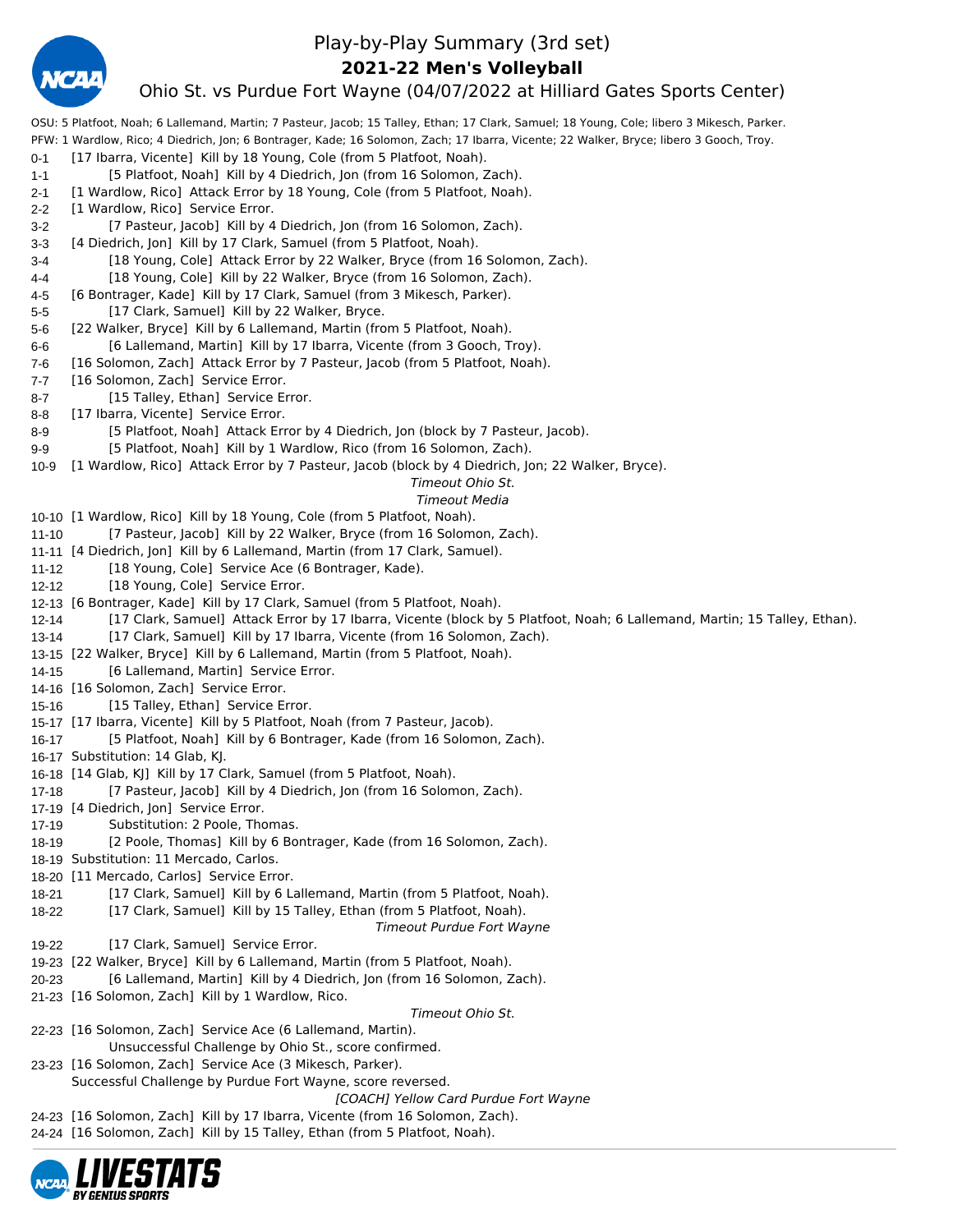

### Play-by-Play Summary (3rd set)

**2021-22 Men's Volleyball**

### Ohio St. vs Purdue Fort Wayne (04/07/2022 at Hilliard Gates Sports Center)

OSU: 5 Platfoot, Noah; 6 Lallemand, Martin; 7 Pasteur, Jacob; 15 Talley, Ethan; 17 Clark, Samuel; 18 Young, Cole; libero 3 Mikesch, Parker. PFW: 1 Wardlow, Rico; 4 Diedrich, Jon; 6 Bontrager, Kade; 16 Solomon, Zach; 17 Ibarra, Vicente; 22 Walker, Bryce; libero 3 Gooch, Troy. 0-1 [17 Ibarra, Vicente] Kill by 18 Young, Cole (from 5 Platfoot, Noah). 1-1 [5 Platfoot, Noah] Kill by 4 Diedrich, Jon (from 16 Solomon, Zach). 2-1 [1 Wardlow, Rico] Attack Error by 18 Young, Cole (from 5 Platfoot, Noah). 2-2 [1 Wardlow, Rico] Service Error. 3-2 [7 Pasteur, Jacob] Kill by 4 Diedrich, Jon (from 16 Solomon, Zach). 3-3 [4 Diedrich, Jon] Kill by 17 Clark, Samuel (from 5 Platfoot, Noah). 3-4 [18 Young, Cole] Attack Error by 22 Walker, Bryce (from 16 Solomon, Zach). 4-4 [18 Young, Cole] Kill by 22 Walker, Bryce (from 16 Solomon, Zach). 4-5 [6 Bontrager, Kade] Kill by 17 Clark, Samuel (from 3 Mikesch, Parker). 5-5 [17 Clark, Samuel] Kill by 22 Walker, Bryce. 5-6 [22 Walker, Bryce] Kill by 6 Lallemand, Martin (from 5 Platfoot, Noah). 6-6 [6 Lallemand, Martin] Kill by 17 Ibarra, Vicente (from 3 Gooch, Troy). 7-6 [16 Solomon, Zach] Attack Error by 7 Pasteur, Jacob (from 5 Platfoot, Noah). 7-7 [16 Solomon, Zach] Service Error. 8-7 [15 Talley, Ethan] Service Error. 8-8 [17 Ibarra, Vicente] Service Error. 8-9 [5 Platfoot, Noah] Attack Error by 4 Diedrich, Jon (block by 7 Pasteur, Jacob). 9-9 [5 Platfoot, Noah] Kill by 1 Wardlow, Rico (from 16 Solomon, Zach). 10-9 [1 Wardlow, Rico] Attack Error by 7 Pasteur, Jacob (block by 4 Diedrich, Jon; 22 Walker, Bryce). *Timeout Ohio St. Timeout Media* 10-10 [1 Wardlow, Rico] Kill by 18 Young, Cole (from 5 Platfoot, Noah). 11-10 [7 Pasteur, Jacob] Kill by 22 Walker, Bryce (from 16 Solomon, Zach). 11-11 [4 Diedrich, Jon] Kill by 6 Lallemand, Martin (from 17 Clark, Samuel). 11-12 [18 Young, Cole] Service Ace (6 Bontrager, Kade). 12-12 [18 Young, Cole] Service Error. 12-13 [6 Bontrager, Kade] Kill by 17 Clark, Samuel (from 5 Platfoot, Noah). 12-14 [17 Clark, Samuel] Attack Error by 17 Ibarra, Vicente (block by 5 Platfoot, Noah; 6 Lallemand, Martin; 15 Talley, Ethan). 13-14 [17 Clark, Samuel] Kill by 17 Ibarra, Vicente (from 16 Solomon, Zach). 13-15 [22 Walker, Bryce] Kill by 6 Lallemand, Martin (from 5 Platfoot, Noah). 14-15 [6 Lallemand, Martin] Service Error. 14-16 [16 Solomon, Zach] Service Error. 15-16 [15 Talley, Ethan] Service Error. 15-17 [17 Ibarra, Vicente] Kill by 5 Platfoot, Noah (from 7 Pasteur, Jacob). 16-17 [5 Platfoot, Noah] Kill by 6 Bontrager, Kade (from 16 Solomon, Zach). 16-17 Substitution: 14 Glab, KJ. 16-18 [14 Glab, KJ] Kill by 17 Clark, Samuel (from 5 Platfoot, Noah). 17-18 [7 Pasteur, Jacob] Kill by 4 Diedrich, Jon (from 16 Solomon, Zach). 17-19 [4 Diedrich, Jon] Service Error. 17-19 Substitution: 2 Poole, Thomas. 18-19 [2 Poole, Thomas] Kill by 6 Bontrager, Kade (from 16 Solomon, Zach). 18-19 Substitution: 11 Mercado, Carlos. 18-20 [11 Mercado, Carlos] Service Error. 18-21 [17 Clark, Samuel] Kill by 6 Lallemand, Martin (from 5 Platfoot, Noah). 18-22 [17 Clark, Samuel] Kill by 15 Talley, Ethan (from 5 Platfoot, Noah). *Timeout Purdue Fort Wayne* 19-22 [17 Clark, Samuel] Service Error. 19-23 [22 Walker, Bryce] Kill by 6 Lallemand, Martin (from 5 Platfoot, Noah). 20-23 [6 Lallemand, Martin] Kill by 4 Diedrich, Jon (from 16 Solomon, Zach). 21-23 [16 Solomon, Zach] Kill by 1 Wardlow, Rico. *Timeout Ohio St.* 22-23 [16 Solomon, Zach] Service Ace (6 Lallemand, Martin). Unsuccessful Challenge by Ohio St., score confirmed. 23-23 [16 Solomon, Zach] Service Ace (3 Mikesch, Parker). Successful Challenge by Purdue Fort Wayne, score reversed. *[COACH] Yellow Card Purdue Fort Wayne* 24-23 [16 Solomon, Zach] Kill by 17 Ibarra, Vicente (from 16 Solomon, Zach). 24-24 [16 Solomon, Zach] Kill by 15 Talley, Ethan (from 5 Platfoot, Noah).

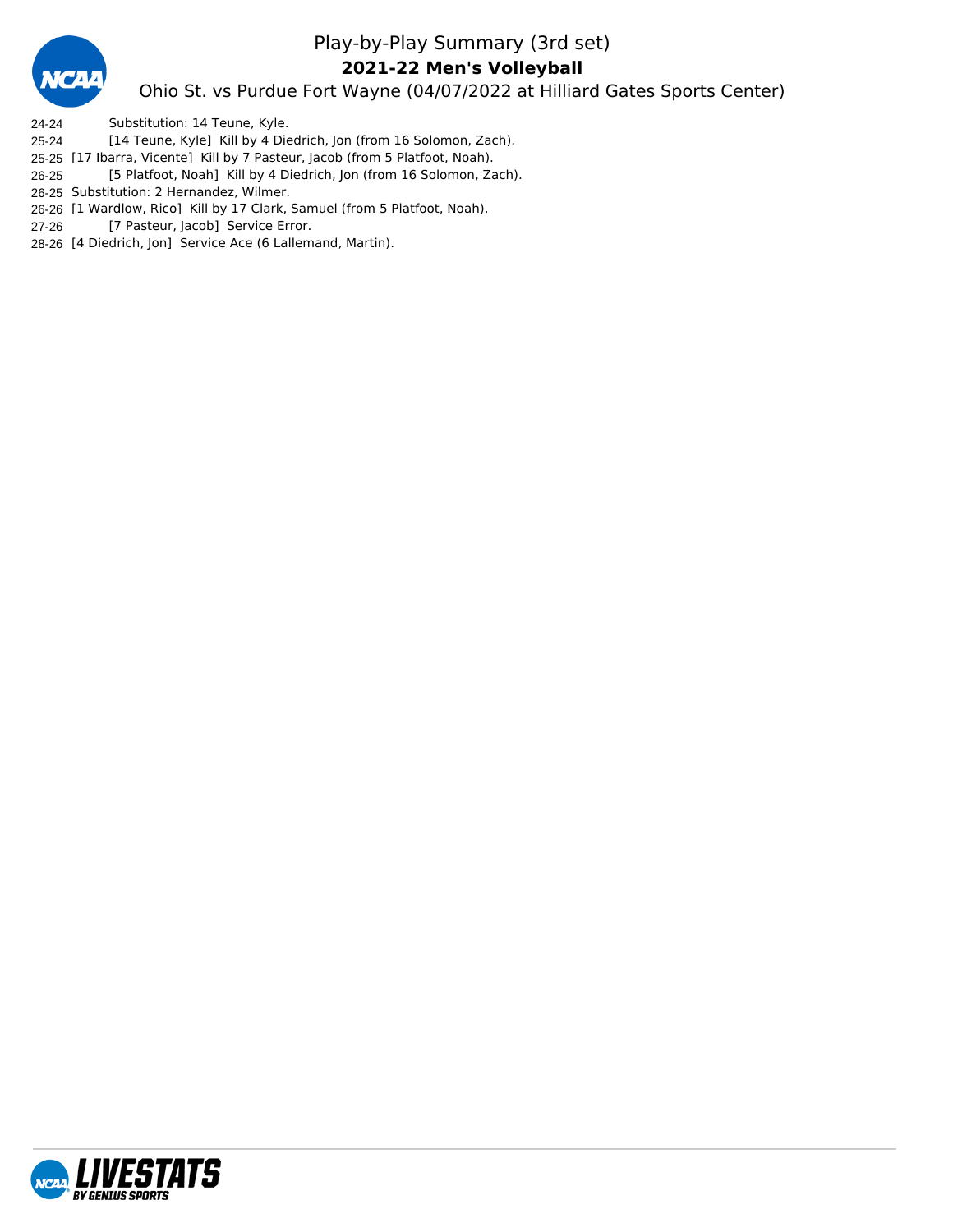

### Play-by-Play Summary (3rd set) **2021-22 Men's Volleyball**

Ohio St. vs Purdue Fort Wayne (04/07/2022 at Hilliard Gates Sports Center)

- 24-24 Substitution: 14 Teune, Kyle.
- 25-24 [14 Teune, Kyle] Kill by 4 Diedrich, Jon (from 16 Solomon, Zach).
- 25-25 [17 Ibarra, Vicente] Kill by 7 Pasteur, Jacob (from 5 Platfoot, Noah).
- 26-25 [5 Platfoot, Noah] Kill by 4 Diedrich, Jon (from 16 Solomon, Zach).
- 26-25 Substitution: 2 Hernandez, Wilmer.
- 26-26 [1 Wardlow, Rico] Kill by 17 Clark, Samuel (from 5 Platfoot, Noah).
- 27-26 [7 Pasteur, Jacob] Service Error.
- 28-26 [4 Diedrich, Jon] Service Ace (6 Lallemand, Martin).

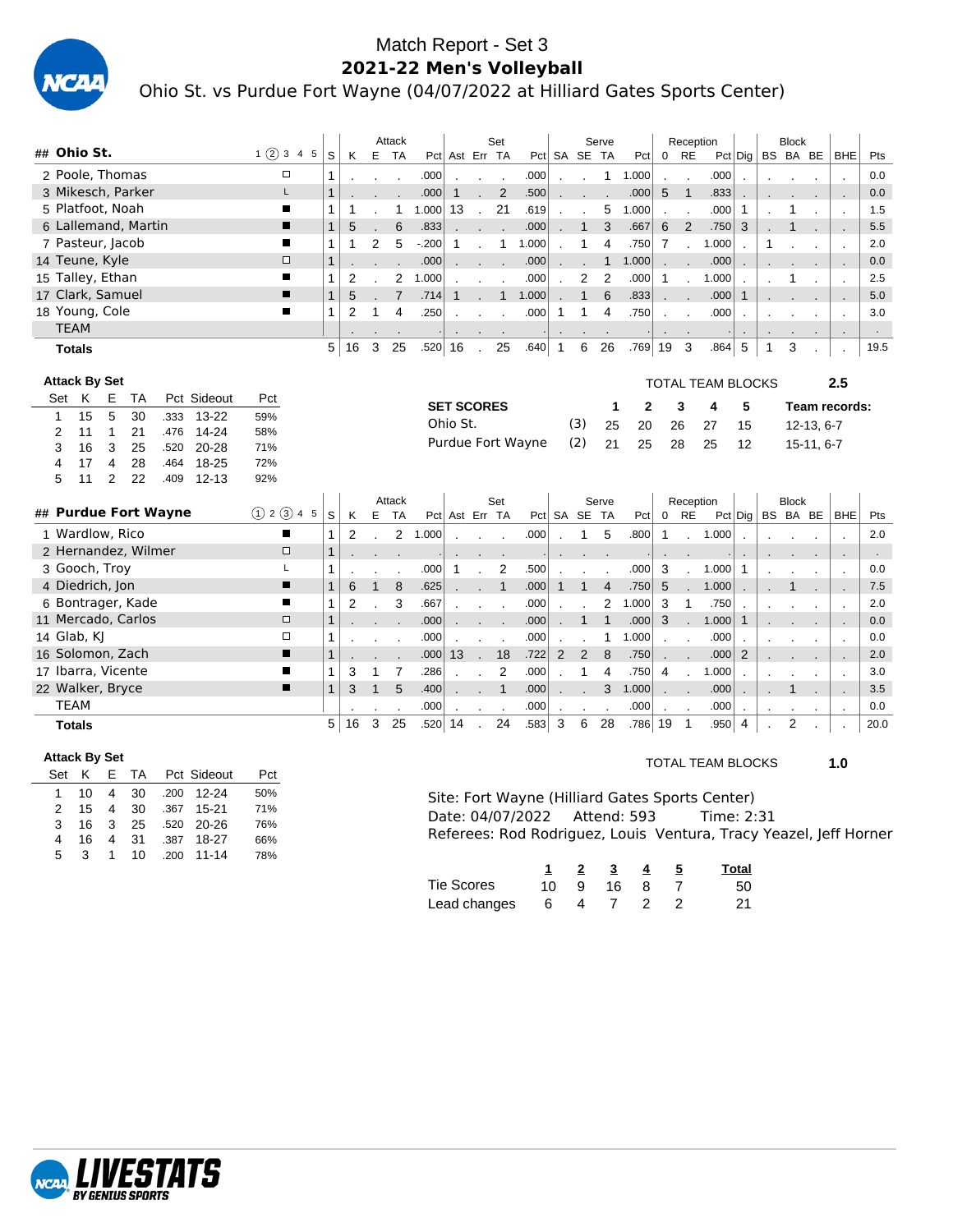

### Match Report - Set 3 **2021-22 Men's Volleyball** Ohio St. vs Purdue Fort Wayne (04/07/2022 at Hilliard Gates Sports Center)

|                  |             |                      |                   |                     |                      |                        |            |               |              |                |                | Attack         |        |                   |                | Set            |                   |                |                | Serve          |       |             | Reception                  |                          |                |         | <b>Block</b> |            |                          |        |
|------------------|-------------|----------------------|-------------------|---------------------|----------------------|------------------------|------------|---------------|--------------|----------------|----------------|----------------|--------|-------------------|----------------|----------------|-------------------|----------------|----------------|----------------|-------|-------------|----------------------------|--------------------------|----------------|---------|--------------|------------|--------------------------|--------|
| ## Ohio St.      |             |                      |                   |                     |                      |                        |            | 1(2)345       | S            | ĸ              | E              | <b>TA</b>      |        | Pct Ast Err TA    |                |                |                   |                | Pct SA SE TA   |                | Pct   |             | $0$ RE                     |                          | $Pct$ Dig      |         | BS BA BE     |            | <b>BHE</b>               | Pts    |
|                  |             |                      |                   | 2 Poole, Thomas     |                      |                        |            | $\Box$        | 1            |                |                |                | .000   |                   |                |                | .000              |                |                | 1.             | 1.000 |             |                            | .000                     |                |         |              |            | $\overline{\phantom{a}}$ | 0.0    |
|                  |             |                      |                   | 3 Mikesch, Parker   |                      |                        |            | L             | $\mathbf{1}$ |                |                |                | .000   | $\mathbf{1}$      |                | 2              | .500              |                |                |                | .000  | 5           | $\mathbf{1}$               | .833                     |                |         |              |            | $\overline{\phantom{a}}$ | 0.0    |
|                  |             | 5 Platfoot, Noah     |                   |                     |                      |                        |            | ■             | 1            | 1              |                | 1              | 1.000  | 13                | $\mathbf{r}$   | 21             | .619              |                |                | 5              | 1.000 |             |                            | .000                     | $\mathbf 1$    |         | 1            |            | $\cdot$                  | 1.5    |
|                  |             |                      |                   | 6 Lallemand, Martin |                      |                        |            | ▬             | $\mathbf{1}$ | 5              |                | 6              | .833   |                   |                |                | .000              |                | 1              | 3              | .667  | 6           | 2                          | .750                     | 3              |         | 1            |            |                          | 5.5    |
|                  |             | 7 Pasteur, Jacob     |                   |                     |                      |                        |            | П             | $\mathbf{1}$ | $\mathbf{1}$   | $\overline{2}$ | 5              | $-200$ | 1                 |                | 1              | 1.000             |                | 1              | $\overline{4}$ | .750  | 7           |                            | 1.000                    |                | 1       |              |            | $\cdot$                  | 2.0    |
|                  |             | 14 Teune, Kyle       |                   |                     |                      |                        |            | $\Box$        | $\mathbf{1}$ |                |                |                | .000   |                   |                |                | .000              |                |                | $\mathbf{1}$   | 1.000 |             |                            | .000                     |                |         |              |            |                          | 0.0    |
|                  |             | 15 Talley, Ethan     |                   |                     |                      |                        |            | ■             | $\mathbf{1}$ | $\overline{2}$ |                | 2              | 1.000  |                   |                |                | .000              |                | 2              | $\overline{2}$ | .000  | 1           |                            | 1.000                    | $\cdot$        |         |              |            |                          | 2.5    |
| 17 Clark, Samuel |             |                      |                   |                     |                      |                        |            | ■             | $\mathbf{1}$ | 5              |                | $\overline{7}$ | .714   |                   |                | $\mathbf{1}$   | 1.000             |                | $\mathbf{1}$   | 6              | .833  |             |                            | .000                     | $\mathbf{1}$   |         |              |            |                          | 5.0    |
|                  |             | 18 Young, Cole       |                   |                     |                      |                        |            | ■             | 1            | 2              | 1              | 4              | .250   |                   |                |                | .000              | 1              | 1              | 4              | .750  |             |                            | .000                     |                |         |              |            |                          | 3.0    |
|                  | <b>TEAM</b> |                      |                   |                     |                      |                        |            |               |              |                |                |                |        |                   |                |                |                   |                |                |                |       |             |                            |                          | $\blacksquare$ |         |              |            | $\blacksquare$           | $\sim$ |
|                  |             | <b>Totals</b>        |                   |                     |                      |                        |            |               | 5            | 16             | 3              | 25             | .520   | 16                |                | 25             | .640              | $\overline{1}$ | 6              | 26             | .769  | 19          | 3                          | .864                     | 5              | 1       | 3            |            |                          | 19.5   |
|                  |             |                      |                   |                     |                      |                        |            |               |              |                |                |                |        |                   |                |                |                   |                |                |                |       |             |                            |                          |                |         |              |            |                          |        |
|                  |             | <b>Attack By Set</b> |                   |                     |                      |                        |            |               |              |                |                |                |        |                   |                |                |                   |                |                |                |       |             |                            | <b>TOTAL TEAM BLOCKS</b> |                |         |              |            | 2.5                      |        |
|                  |             | Set K                | E                 | TA                  |                      | Pct Sideout            | Pct        |               |              |                |                |                |        | <b>SET SCORES</b> |                |                |                   |                |                | $\mathbf 1$    | 2     |             | 3                          | 4                        | 5              |         |              |            | Team records:            |        |
| 1                |             | 15<br>11             | 5<br>$\mathbf{1}$ | 30<br>21            | .333<br>.476         | $13 - 22$<br>$14 - 24$ | 59%<br>58% |               |              |                |                |                |        | Ohio St.          |                |                |                   |                | (3)            | 25             | 20    |             | 26                         | 27                       | 15             |         |              | 12-13, 6-7 |                          |        |
| 2<br>3           |             | 16                   | 3                 | 25                  | .520                 | $20 - 28$              | 71%        |               |              |                |                |                |        |                   |                |                | Purdue Fort Wayne |                | (2)            | 21             | 25    |             | 28                         | 25                       | 12             |         |              | 15-11, 6-7 |                          |        |
| 4                |             | 17                   | 4                 | 28                  | .464                 | 18-25                  | 72%        |               |              |                |                |                |        |                   |                |                |                   |                |                |                |       |             |                            |                          |                |         |              |            |                          |        |
| 5                |             | 11                   | $\overline{2}$    | 22                  | .409                 | $12 - 13$              | 92%        |               |              |                |                |                |        |                   |                |                |                   |                |                |                |       |             |                            |                          |                |         |              |            |                          |        |
|                  |             |                      |                   |                     |                      |                        |            |               |              |                |                | Attack         |        |                   |                | Set            |                   |                |                | Serve          |       |             | Reception                  |                          |                |         | <b>Block</b> |            |                          |        |
|                  |             |                      |                   |                     | ## Purdue Fort Wayne |                        |            | (1) 2 (3) 4 5 | S            | К              | E              | <b>TA</b>      |        | Pct Ast Err TA    |                |                |                   |                | Pct SA SE TA   |                | Pct   | $\mathbf 0$ | <b>RE</b>                  |                          | $Pct$ Dig      |         |              | BS BA BE   | <b>BHE</b>               | Pts    |
|                  |             | 1 Wardlow, Rico      |                   |                     |                      |                        |            | п             | 1            | $\overline{2}$ |                | 2              | 1.000  |                   |                |                | .000              |                | 1              | 5              | .800  | $\mathbf 1$ |                            | 1.000                    |                |         |              |            | $\overline{\phantom{a}}$ | 2.0    |
|                  |             |                      |                   | 2 Hernandez, Wilmer |                      |                        |            | $\Box$        | $\mathbf{1}$ |                |                |                |        |                   |                |                |                   |                |                |                |       |             |                            |                          |                |         |              |            | ٠.                       |        |
|                  |             | 3 Gooch, Troy        |                   |                     |                      |                        |            | L             | 1            |                |                |                | .000   | -1                |                | $\overline{2}$ | .500              |                |                |                | .000  | 3           |                            | 1.000                    | $\mathbf{1}$   |         |              |            |                          | 0.0    |
|                  |             | 4 Diedrich, Jon      |                   |                     |                      |                        |            | ∎             | $\mathbf{1}$ | 6              | $\mathbf{1}$   | 8              | .625   |                   |                | $\mathbf{1}$   | .000              | 1              | 1              | $\overline{4}$ | .750  | 5           |                            | 1.000                    |                |         |              |            |                          | 7.5    |
|                  |             |                      |                   | 6 Bontrager, Kade   |                      |                        |            | П             | 1            | 2              |                | 3              | .667   |                   |                |                | .000              |                |                | 2              | 1.000 | 3           | $\mathbf{1}$               | .750                     |                |         |              |            | $\cdot$                  | 2.0    |
|                  |             |                      |                   | 11 Mercado, Carlos  |                      |                        |            | $\Box$        | $\mathbf{1}$ |                |                |                | .000   |                   |                |                | .000              |                | $\mathbf 1$    | $\mathbf{1}$   | .000  | 3           |                            | 1.000                    | $\mathbf{1}$   |         |              |            | $\sim$                   | 0.0    |
|                  |             | 14 Glab, KJ          |                   |                     |                      |                        |            | $\Box$        | 1            |                |                |                | .000   |                   |                |                | .000              |                |                | 1              | 1.000 |             |                            | .000                     |                |         |              |            | $\cdot$                  | 0.0    |
|                  |             |                      |                   | 16 Solomon, Zach    |                      |                        |            | ■             | $\mathbf{1}$ |                |                |                | .000   | 13                | ۰              | 18             | .722              | 2              | $\overline{2}$ | 8              | .750  |             |                            | .000                     | 2              |         |              |            | $\overline{\phantom{a}}$ | 2.0    |
|                  |             |                      |                   | 17 Ibarra, Vicente  |                      |                        |            | ■             | 1            | 3              | 1              | $\overline{7}$ | .286   |                   |                | $\overline{2}$ | .000              |                | 1              | $\overline{4}$ | .750  | 4           |                            | 1.000                    |                |         |              |            |                          | 3.0    |
| 22 Walker, Bryce |             |                      |                   |                     |                      |                        |            | п             | $\mathbf{1}$ | 3              | $\mathbf{1}$   | 5              | .400   |                   |                | $\mathbf{1}$   | .000              |                |                | 3              | 1.000 |             |                            | .000                     |                |         | 1            |            |                          | 3.5    |
|                  | <b>TEAM</b> |                      |                   |                     |                      |                        |            |               |              |                |                |                | .000   |                   | $\cdot$        | $\bullet$      | .000              |                |                |                | .000  |             |                            | .000                     |                | $\cdot$ | $\cdot$      | $\cdot$    | $\cdot$                  | 0.0    |
|                  |             | <b>Totals</b>        |                   |                     |                      |                        |            |               | 5            | 16             | 3              | 25             | .520   | 14                | $\blacksquare$ | 24             | .583              | 3              | 6              | 28             | .786  | 19          | $\overline{\phantom{0}}$ 1 | .950                     | $\overline{4}$ |         | 2            |            |                          | 20.0   |

### **Attack By Set**

| Set | ĸ              |               |                |  | Pct                                                                                                             |
|-----|----------------|---------------|----------------|--|-----------------------------------------------------------------------------------------------------------------|
|     |                |               |                |  | 50%                                                                                                             |
|     |                |               |                |  | 71%                                                                                                             |
| 3   |                |               |                |  | 76%                                                                                                             |
| 4   | 16             |               |                |  | 66%                                                                                                             |
| 5.  | $\overline{3}$ |               |                |  | 78%                                                                                                             |
|     |                | $\mathcal{P}$ | 10<br>15<br>16 |  | E TA Pct Sideout<br>4 30 .200 12-24<br>4 30 .367 15-21<br>3 25 .520 20-26<br>4 31 .387 18-27<br>1 10 .200 11-14 |

### TOTAL TEAM BLOCKS **1.0**

Site: Fort Wayne (Hilliard Gates Sports Center)<br>Date: 04/07/2022 Attend: 593 Time: 2:31 Date: 04/07/2022 Attend: 593 Referees: Rod Rodriguez, Louis Ventura, Tracy Yeazel, Jeff Horner

|                   |  | 2 3       | $\overline{4}$ | <b>Total</b> |
|-------------------|--|-----------|----------------|--------------|
| <b>Tie Scores</b> |  | 10 9 16 8 |                | 50           |
| Lead changes      |  | 64722     |                | 21           |

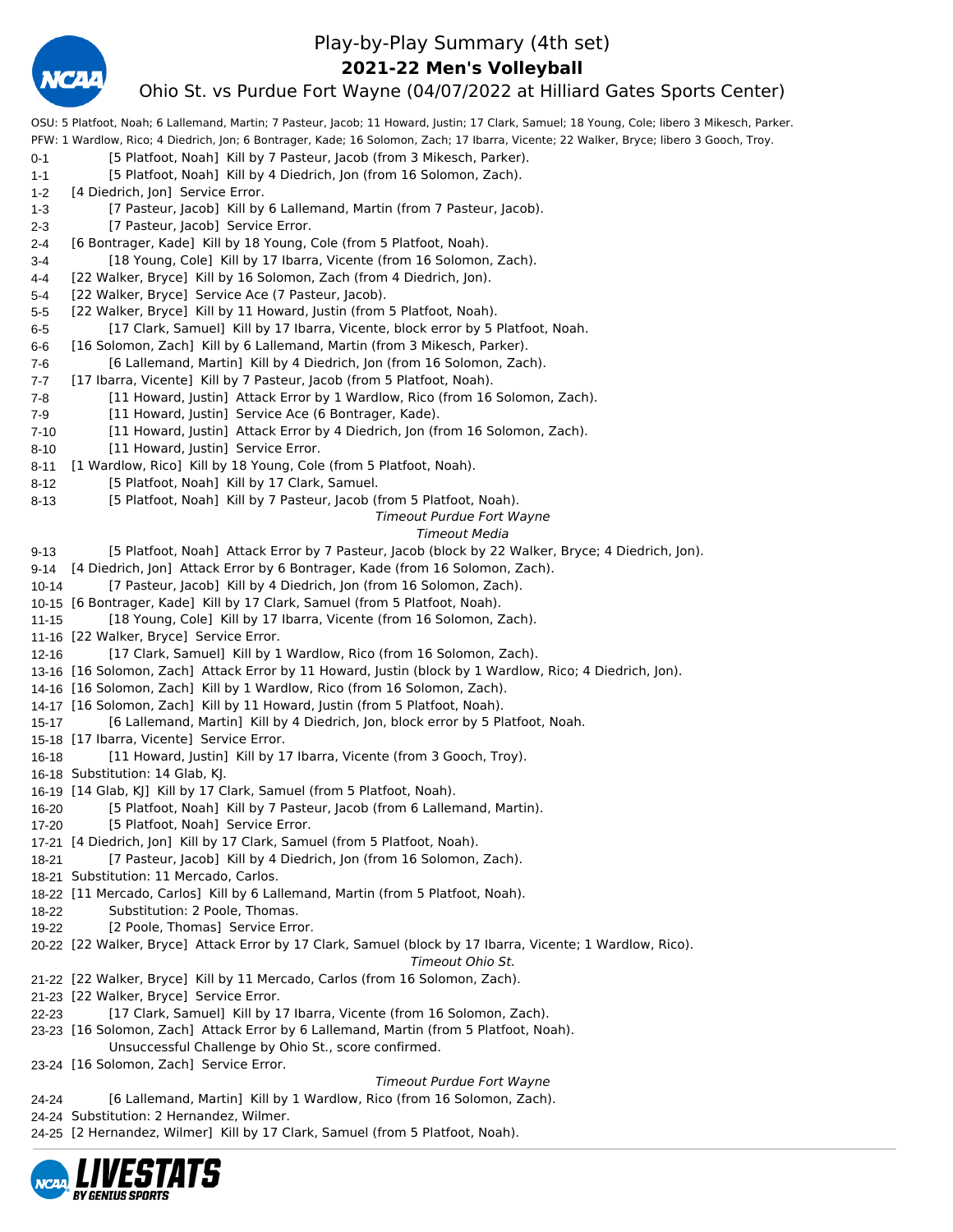

### Play-by-Play Summary (4th set)

**2021-22 Men's Volleyball**

### Ohio St. vs Purdue Fort Wayne (04/07/2022 at Hilliard Gates Sports Center)

OSU: 5 Platfoot, Noah; 6 Lallemand, Martin; 7 Pasteur, Jacob; 11 Howard, Justin; 17 Clark, Samuel; 18 Young, Cole; libero 3 Mikesch, Parker. PFW: 1 Wardlow, Rico; 4 Diedrich, Jon; 6 Bontrager, Kade; 16 Solomon, Zach; 17 Ibarra, Vicente; 22 Walker, Bryce; libero 3 Gooch, Troy. 0-1 [5 Platfoot, Noah] Kill by 7 Pasteur, Jacob (from 3 Mikesch, Parker). 1-1 [5 Platfoot, Noah] Kill by 4 Diedrich, Jon (from 16 Solomon, Zach). 1-2 [4 Diedrich, Jon] Service Error. 1-3 [7 Pasteur, Jacob] Kill by 6 Lallemand, Martin (from 7 Pasteur, Jacob). 2-3 [7 Pasteur, Jacob] Service Error. 2-4 [6 Bontrager, Kade] Kill by 18 Young, Cole (from 5 Platfoot, Noah). 3-4 [18 Young, Cole] Kill by 17 Ibarra, Vicente (from 16 Solomon, Zach). 4-4 [22 Walker, Bryce] Kill by 16 Solomon, Zach (from 4 Diedrich, Jon). 5-4 [22 Walker, Bryce] Service Ace (7 Pasteur, Jacob). 5-5 [22 Walker, Bryce] Kill by 11 Howard, Justin (from 5 Platfoot, Noah). 6-5 [17 Clark, Samuel] Kill by 17 Ibarra, Vicente, block error by 5 Platfoot, Noah. 6-6 [16 Solomon, Zach] Kill by 6 Lallemand, Martin (from 3 Mikesch, Parker). 7-6 [6 Lallemand, Martin] Kill by 4 Diedrich, Jon (from 16 Solomon, Zach). 7-7 [17 Ibarra, Vicente] Kill by 7 Pasteur, Jacob (from 5 Platfoot, Noah). 7-8 [11 Howard, Justin] Attack Error by 1 Wardlow, Rico (from 16 Solomon, Zach). 7-9 [11 Howard, Justin] Service Ace (6 Bontrager, Kade). 7-10 [11 Howard, Justin] Attack Error by 4 Diedrich, Jon (from 16 Solomon, Zach). 8-10 [11 Howard, Justin] Service Error. 8-11 [1 Wardlow, Rico] Kill by 18 Young, Cole (from 5 Platfoot, Noah). 8-12 [5 Platfoot, Noah] Kill by 17 Clark, Samuel. 8-13 [5 Platfoot, Noah] Kill by 7 Pasteur, Jacob (from 5 Platfoot, Noah). *Timeout Purdue Fort Wayne Timeout Media* 9-13 [5 Platfoot, Noah] Attack Error by 7 Pasteur, Jacob (block by 22 Walker, Bryce; 4 Diedrich, Jon). 9-14 [4 Diedrich, Jon] Attack Error by 6 Bontrager, Kade (from 16 Solomon, Zach). 10-14 [7 Pasteur, Jacob] Kill by 4 Diedrich, Jon (from 16 Solomon, Zach). 10-15 [6 Bontrager, Kade] Kill by 17 Clark, Samuel (from 5 Platfoot, Noah). 11-15 [18 Young, Cole] Kill by 17 Ibarra, Vicente (from 16 Solomon, Zach). 11-16 [22 Walker, Bryce] Service Error. 12-16 [17 Clark, Samuel] Kill by 1 Wardlow, Rico (from 16 Solomon, Zach). 13-16 [16 Solomon, Zach] Attack Error by 11 Howard, Justin (block by 1 Wardlow, Rico; 4 Diedrich, Jon). 14-16 [16 Solomon, Zach] Kill by 1 Wardlow, Rico (from 16 Solomon, Zach). 14-17 [16 Solomon, Zach] Kill by 11 Howard, Justin (from 5 Platfoot, Noah). 15-17 [6 Lallemand, Martin] Kill by 4 Diedrich, Jon, block error by 5 Platfoot, Noah. 15-18 [17 Ibarra, Vicente] Service Error. 16-18 [11 Howard, Justin] Kill by 17 Ibarra, Vicente (from 3 Gooch, Troy). 16-18 Substitution: 14 Glab, KJ. 16-19 [14 Glab, KJ] Kill by 17 Clark, Samuel (from 5 Platfoot, Noah). 16-20 [5 Platfoot, Noah] Kill by 7 Pasteur, Jacob (from 6 Lallemand, Martin). 17-20 [5 Platfoot, Noah] Service Error. 17-21 [4 Diedrich, Jon] Kill by 17 Clark, Samuel (from 5 Platfoot, Noah). 18-21 [7 Pasteur, Jacob] Kill by 4 Diedrich, Jon (from 16 Solomon, Zach). 18-21 Substitution: 11 Mercado, Carlos. 18-22 [11 Mercado, Carlos] Kill by 6 Lallemand, Martin (from 5 Platfoot, Noah). 18-22 Substitution: 2 Poole, Thomas. 19-22 [2 Poole, Thomas] Service Error. 20-22 [22 Walker, Bryce] Attack Error by 17 Clark, Samuel (block by 17 Ibarra, Vicente; 1 Wardlow, Rico). *Timeout Ohio St.* 21-22 [22 Walker, Bryce] Kill by 11 Mercado, Carlos (from 16 Solomon, Zach). 21-23 [22 Walker, Bryce] Service Error. 22-23 [17 Clark, Samuel] Kill by 17 Ibarra, Vicente (from 16 Solomon, Zach). 23-23 [16 Solomon, Zach] Attack Error by 6 Lallemand, Martin (from 5 Platfoot, Noah). Unsuccessful Challenge by Ohio St., score confirmed. 23-24 [16 Solomon, Zach] Service Error. *Timeout Purdue Fort Wayne* 24-24 [6 Lallemand, Martin] Kill by 1 Wardlow, Rico (from 16 Solomon, Zach).

24-24 Substitution: 2 Hernandez, Wilmer.

24-25 [2 Hernandez, Wilmer] Kill by 17 Clark, Samuel (from 5 Platfoot, Noah).

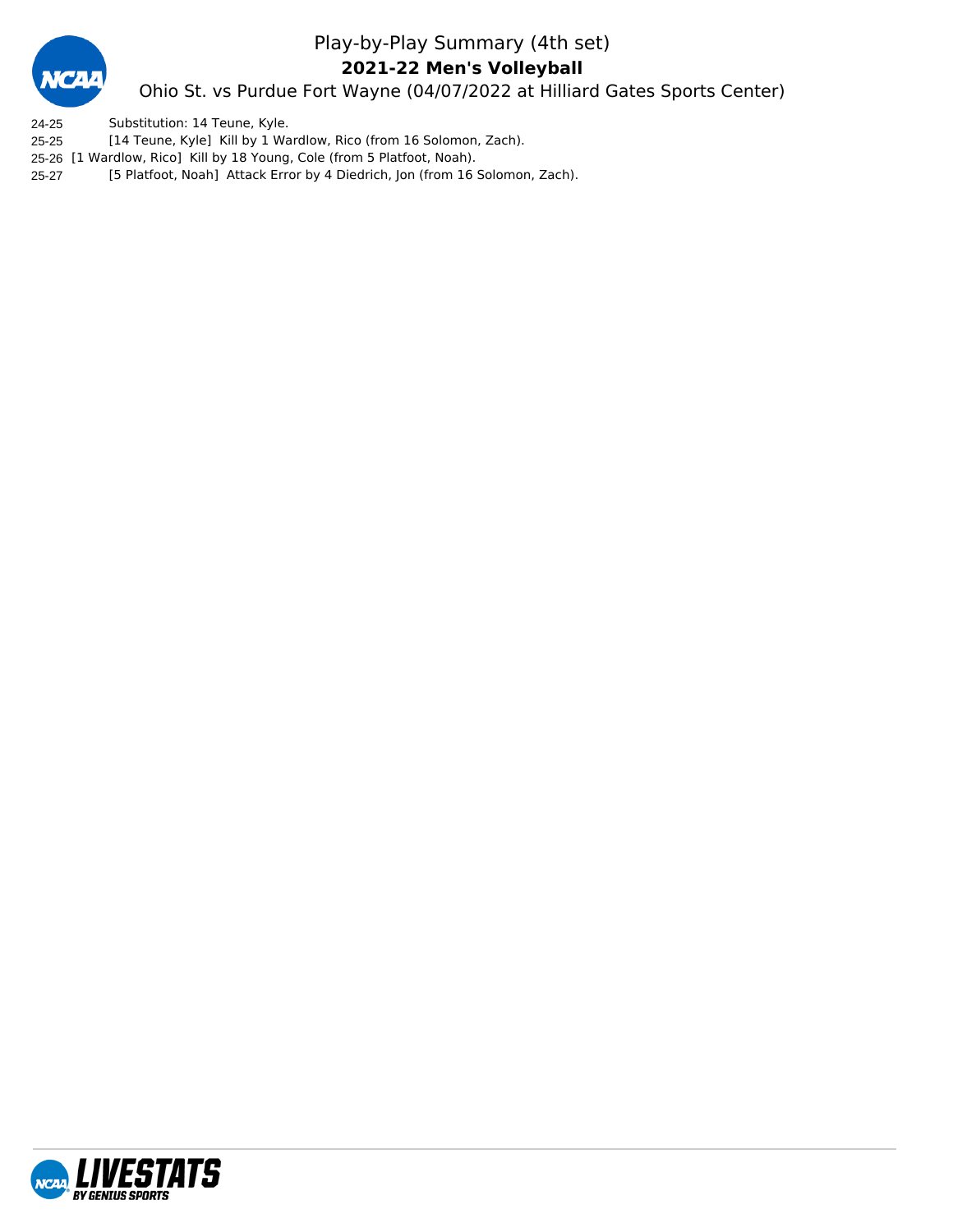

### Play-by-Play Summary (4th set)

**2021-22 Men's Volleyball**

Ohio St. vs Purdue Fort Wayne (04/07/2022 at Hilliard Gates Sports Center)

24-25 Substitution: 14 Teune, Kyle.

25-25 [14 Teune, Kyle] Kill by 1 Wardlow, Rico (from 16 Solomon, Zach).

25-26 [1 Wardlow, Rico] Kill by 18 Young, Cole (from 5 Platfoot, Noah).

25-27 [5 Platfoot, Noah] Attack Error by 4 Diedrich, Jon (from 16 Solomon, Zach).

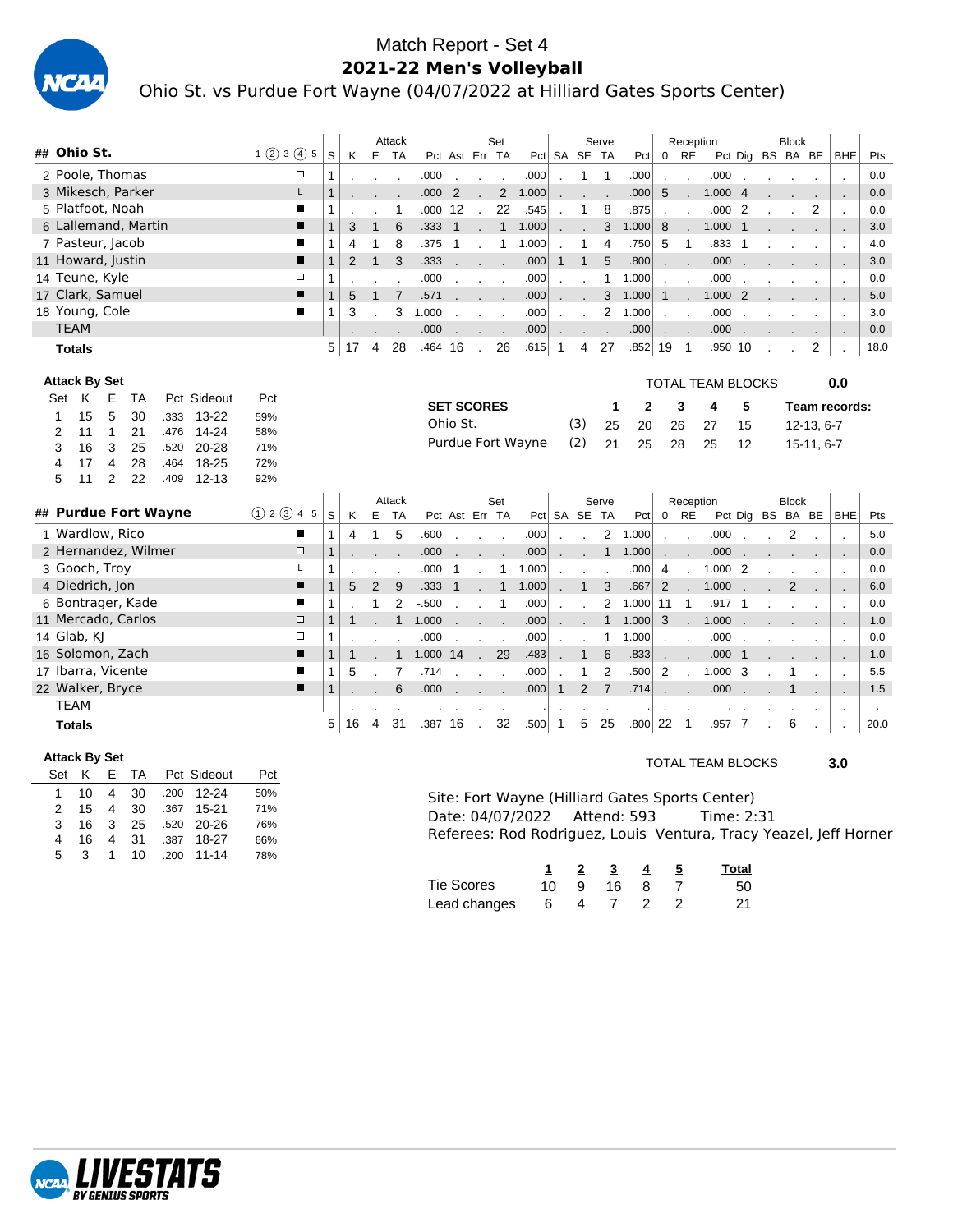

### Match Report - Set 4 **2021-22 Men's Volleyball** Ohio St. vs Purdue Fort Wayne (04/07/2022 at Hilliard Gates Sports Center)

|                                                                 |               |                                |                | Attack         |           |                   |        | Set                      |                   |              |                | Serve          |              |              |                            | Reception                |                |              | <b>Block</b>   |                             |                |      |
|-----------------------------------------------------------------|---------------|--------------------------------|----------------|----------------|-----------|-------------------|--------|--------------------------|-------------------|--------------|----------------|----------------|--------------|--------------|----------------------------|--------------------------|----------------|--------------|----------------|-----------------------------|----------------|------|
| ## Ohio St.                                                     | 1(2)3(4)5     | S<br>K                         | E              | <b>TA</b>      |           | Pct Ast Err TA    |        |                          |                   |              | Pct SA SE TA   |                | Pct          | 0            | <b>RE</b>                  |                          | Pct Dig        |              | BS BA BE       |                             | <b>BHE</b>     | Pts  |
| 2 Poole, Thomas                                                 | $\Box$        | $\mathbf{1}$                   |                |                | .000      |                   |        |                          | .000              |              | 1              | $\overline{1}$ | .000         |              |                            | .000                     |                |              |                |                             |                | 0.0  |
| 3 Mikesch, Parker                                               | L             | $\mathbf{1}$                   |                |                | .000      | 2                 |        | $2^{\circ}$              | 1.000             |              |                |                | .000         | 5            | $\mathbf{r}$               | 1.000                    | $\overline{4}$ |              |                | $\mathcal{L}_{\mathcal{A}}$ | J.             | 0.0  |
| 5 Platfoot, Noah                                                | ■             | 1                              |                | 1              | .000      | 12                |        | 22                       | .545              |              | 1              | 8              | .875         |              |                            | .000                     | 2              |              |                | 2                           |                | 0.0  |
| 6 Lallemand, Martin                                             | ■             | $\mathbf{1}$<br>3              | $\mathbf 1$    | 6              | .333      | $\mathbf{1}$      |        | $\mathbf{1}$             | 1.000             |              |                | 3              | 1.000        | 8            |                            | 1.000                    | $\mathbf{1}$   |              |                |                             |                | 3.0  |
| 7 Pasteur, Jacob                                                | П             | $\mathbf{1}$<br>$\overline{4}$ | 1              | 8              | .375      | 1                 |        | 1                        | 1.000             |              | 1              | $\overline{4}$ | .750         | 5            | 1                          | .833                     | 1              |              |                |                             | J.             | 4.0  |
| 11 Howard, Justin                                               | П             | $\mathbf{1}$<br>$\overline{2}$ | $\mathbf{1}$   | 3              | .333      |                   |        | $\overline{\phantom{a}}$ | .000              | $\mathbf{1}$ | $\mathbf{1}$   | 5              | .800         |              |                            | .000                     |                |              |                |                             | $\overline{a}$ | 3.0  |
| 14 Teune, Kyle                                                  | $\Box$        | 1                              |                |                | .000      |                   |        |                          | .000              |              |                | $\mathbf{1}$   | 1.000        |              |                            | .000                     |                |              |                |                             |                | 0.0  |
| 17 Clark, Samuel                                                | п             | $\mathbf{1}$<br>5              | $\mathbf{1}$   | $\overline{7}$ | .571      |                   |        |                          | .000              |              |                | 3              | 1.000        | $\mathbf{1}$ |                            | 1.000                    | $\overline{2}$ |              |                |                             |                | 5.0  |
| 18 Young, Cole                                                  | п             | $\mathbf{1}$<br>3              |                | 3              | 1.000     |                   |        |                          | .000              |              |                | 2              | 1.000        |              |                            | .000                     |                |              |                |                             |                | 3.0  |
| <b>TEAM</b>                                                     |               |                                |                |                | .000      |                   |        |                          | .000              |              |                |                | .000         | $\sim$       |                            | .000                     |                |              |                |                             | $\blacksquare$ | 0.0  |
| <b>Totals</b>                                                   |               | 5<br>17                        | $\overline{4}$ | 28             | .464      | 16                |        | 26                       | .615              | $\mathbf{1}$ | $\overline{4}$ | 27             | .852 19      |              | $\overline{1}$             | .950 10                  |                |              |                | $\overline{2}$              |                | 18.0 |
|                                                                 |               |                                |                |                |           |                   |        |                          |                   |              |                |                |              |              |                            |                          |                |              |                |                             |                |      |
| <b>Attack By Set</b>                                            |               |                                |                |                |           |                   |        |                          |                   |              |                |                |              |              |                            | <b>TOTAL TEAM BLOCKS</b> |                |              |                |                             | 0.0            |      |
| Set K<br>Pct Sideout<br>Е<br>TA                                 | Pct           |                                |                |                |           | <b>SET SCORES</b> |        |                          |                   |              |                | 1              | $\mathbf{2}$ |              | 3                          | 4                        | 5              |              |                |                             | Team records:  |      |
| 15<br>5<br>30<br>.333<br>$13 - 22$<br>$\mathbf{1}$              | 59%           |                                |                |                |           | Ohio St.          |        |                          |                   |              | (3)            | 25             | 20           | 26           |                            | 27                       | 15             |              |                | $12-13, 6-7$                |                |      |
| $\mathbf{1}$<br>21<br>$\overline{2}$<br>.476<br>$14 - 24$<br>11 | 58%           |                                |                |                |           |                   |        |                          | Purdue Fort Wayne |              | (2)            | 21             | 25           | 28           |                            | 25                       |                |              |                |                             |                |      |
| 3<br>3<br>25<br>20-28<br>16<br>.520                             | 71%           |                                |                |                |           |                   |        |                          |                   |              |                |                |              |              |                            |                          | 12             |              |                | 15-11, 6-7                  |                |      |
| $\overline{\mathbf{4}}$<br>28<br>18-25<br>4<br>17<br>.464       | 72%           |                                |                |                |           |                   |        |                          |                   |              |                |                |              |              |                            |                          |                |              |                |                             |                |      |
| $\overline{2}$<br>22<br>5<br>$12 - 13$<br>11<br>.409            | 92%           |                                |                |                |           |                   |        |                          |                   |              |                |                |              |              |                            |                          |                |              |                |                             |                |      |
| ## Purdue Fort Wayne                                            | (1) 2 (3) 4 5 |                                |                | Attack         |           |                   |        | Set                      |                   |              |                | Serve          |              |              |                            | Reception                |                |              | <b>Block</b>   |                             |                |      |
|                                                                 |               | S<br>K                         |                | E TA           |           | Pct Ast Err TA    |        |                          |                   |              | Pct SA SE TA   |                | Pct          | 0 RE         |                            |                          |                |              |                | $Pct $ Dig   BS BA BE       | <b>BHE</b>     | Pts  |
| 1 Wardlow, Rico                                                 | п             | $\mathbf{1}$<br>$\overline{4}$ | $\mathbf{1}$   | 5              | .600      |                   |        | $\mathbf{r}$             | .000              |              |                | $\overline{2}$ | 1.000        | $\mathbf{r}$ | $\mathcal{L}_{\mathbf{r}}$ | .000                     |                | $\mathbf{r}$ | 2              |                             |                | 5.0  |
| 2 Hernandez, Wilmer                                             | $\Box$        | $\mathbf{1}$                   |                |                | .000      |                   |        |                          | .000              |              |                | $\mathbf{1}$   | 1.000        |              |                            | .000                     |                |              |                |                             |                | 0.0  |
| 3 Gooch, Troy                                                   | Г             | 1                              |                |                | .000      | -1                |        | 1                        | 1.000             |              |                |                | .000         | 4            | $\overline{\phantom{a}}$   | 1.000                    | 2              |              |                |                             |                | 0.0  |
| 4 Diedrich, Jon                                                 | п             | $\mathbf{1}$<br>5              | $\overline{2}$ | 9              | .333      | $\mathbf 1$       |        | $\mathbf{1}$             | 1.000             |              |                | 3              | .667         | 2            |                            | 1.000                    |                |              | $\overline{2}$ |                             |                | 6.0  |
| 6 Bontrager, Kade                                               | П             | $\mathbf{1}$                   |                | $\overline{2}$ | $-500$    |                   |        | 1                        | .000              |              |                | $\overline{2}$ | 1.000        | 11           | $\mathbf{1}$               | .917                     | 1              |              |                |                             |                | 0.0  |
| 11 Mercado, Carlos                                              | $\Box$        | $\mathbf{1}$<br>$\mathbf{1}$   |                | $\mathbf{1}$   | 1.000     |                   |        |                          | .000              |              |                | $\mathbf{1}$   | 1.000        | 3            | $\mathbf{L}$               | 1.000                    |                |              |                |                             |                | 1.0  |
| 14 Glab, KJ                                                     |               |                                |                |                | .000      |                   |        |                          | .000              |              |                | 1              | 1.000        |              |                            | .000                     |                |              |                |                             | $\blacksquare$ | 0.0  |
| 16 Solomon, Zach                                                | $\Box$        | $\mathbf{1}$                   |                |                |           |                   |        |                          |                   |              |                |                |              |              |                            |                          |                |              |                |                             |                |      |
|                                                                 | п             | $\mathbf{1}$<br>$\mathbf{1}$   |                | $\mathbf{1}$   | 1.000     | 14                | $\sim$ | 29                       | .483              |              | $\overline{1}$ | 6              | .833         |              |                            | .000                     | $\mathbf{1}$   |              |                |                             |                | 1.0  |
| 17 Ibarra, Vicente                                              | ■             | $\mathbf{1}$<br>5              |                | 7              | .714      |                   |        |                          | .000              |              | 1              | $\overline{2}$ | .500         | 2            |                            | 1.000                    | 3              |              |                |                             | $\cdot$        | 5.5  |
| 22 Walker, Bryce                                                | П             | $\mathbf{1}$                   |                | 6              | .000      |                   |        |                          | .000              | $\mathbf{1}$ | $\overline{2}$ | $\overline{7}$ | .714         |              |                            | .000                     |                |              |                |                             |                | 1.5  |
| <b>TEAM</b>                                                     |               |                                |                |                |           |                   |        |                          |                   |              |                |                |              |              |                            |                          |                |              |                |                             |                |      |
| <b>Totals</b>                                                   |               | 5 <sup>1</sup><br>16           | $\overline{4}$ | 31             | $.387$ 16 |                   |        | 32                       | .500              | $\mathbf{1}$ | 5              | 25             | $.800$ 22    |              | $\mathbf{1}$               | .957                     | $\overline{7}$ |              | 6              |                             |                | 20.0 |

| Set K         |     |  | E TA Pct Sideout | Pct |
|---------------|-----|--|------------------|-----|
| 1             | 10. |  | 4 30 .200 12-24  | 50% |
| $\mathcal{P}$ | 15  |  | 4 30 .367 15-21  | 71% |
| 3             | 16  |  | 3 25 .520 20-26  | 76% |
| 4             | 16  |  | 4 31 .387 18-27  | 66% |
| 5.            | 3   |  | 1 10 .200 11-14  | 78% |

TOTAL TEAM BLOCKS **3.0**

Site: Fort Wayne (Hilliard Gates Sports Center)<br>Date: 04/07/2022 Attend: 593 Time: 2:31 Date: 04/07/2022 Attend: 593 Referees: Rod Rodriguez, Louis Ventura, Tracy Yeazel, Jeff Horner

|                   |           | 1 2 3       | - 4 | - 5 | Total |
|-------------------|-----------|-------------|-----|-----|-------|
| <b>Tie Scores</b> |           | 10 9 16 8 7 |     |     | 50    |
| Lead changes      | 6 4 7 2 2 |             |     |     | 21    |

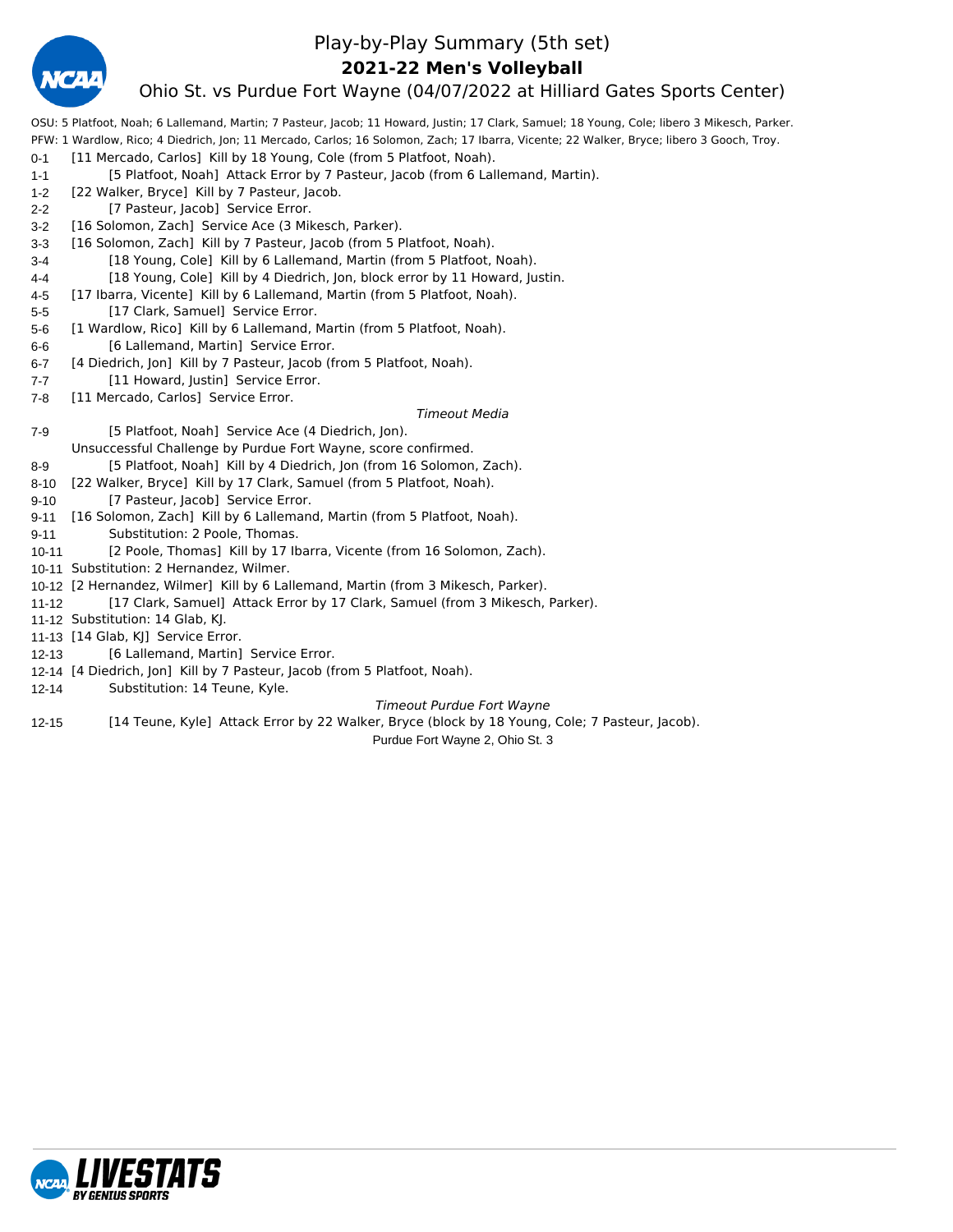

### Play-by-Play Summary (5th set)

### **2021-22 Men's Volleyball**

### Ohio St. vs Purdue Fort Wayne (04/07/2022 at Hilliard Gates Sports Center)

OSU: 5 Platfoot, Noah; 6 Lallemand, Martin; 7 Pasteur, Jacob; 11 Howard, Justin; 17 Clark, Samuel; 18 Young, Cole; libero 3 Mikesch, Parker. PFW: 1 Wardlow, Rico; 4 Diedrich, Jon; 11 Mercado, Carlos; 16 Solomon, Zach; 17 Ibarra, Vicente; 22 Walker, Bryce; libero 3 Gooch, Troy.

0-1 [11 Mercado, Carlos] Kill by 18 Young, Cole (from 5 Platfoot, Noah). 1-1 [5 Platfoot, Noah] Attack Error by 7 Pasteur, Jacob (from 6 Lallemand, Martin). 1-2 [22 Walker, Bryce] Kill by 7 Pasteur, Jacob. 2-2 [7 Pasteur, Jacob] Service Error. 3-2 [16 Solomon, Zach] Service Ace (3 Mikesch, Parker). 3-3 [16 Solomon, Zach] Kill by 7 Pasteur, Jacob (from 5 Platfoot, Noah). 3-4 [18 Young, Cole] Kill by 6 Lallemand, Martin (from 5 Platfoot, Noah). 4-4 [18 Young, Cole] Kill by 4 Diedrich, Jon, block error by 11 Howard, Justin. 4-5 [17 Ibarra, Vicente] Kill by 6 Lallemand, Martin (from 5 Platfoot, Noah). 5-5 [17 Clark, Samuel] Service Error. 5-6 [1 Wardlow, Rico] Kill by 6 Lallemand, Martin (from 5 Platfoot, Noah). 6-6 [6 Lallemand, Martin] Service Error. 6-7 [4 Diedrich, Jon] Kill by 7 Pasteur, Jacob (from 5 Platfoot, Noah). 7-7 [11 Howard, Justin] Service Error. 7-8 [11 Mercado, Carlos] Service Error. *Timeout Media* 7-9 [5 Platfoot, Noah] Service Ace (4 Diedrich, Jon). Unsuccessful Challenge by Purdue Fort Wayne, score confirmed. 8-9 [5 Platfoot, Noah] Kill by 4 Diedrich, Jon (from 16 Solomon, Zach). 8-10 [22 Walker, Bryce] Kill by 17 Clark, Samuel (from 5 Platfoot, Noah). 9-10 [7 Pasteur, Jacob] Service Error. 9-11 [16 Solomon, Zach] Kill by 6 Lallemand, Martin (from 5 Platfoot, Noah). 9-11 Substitution: 2 Poole, Thomas. 10-11 [2 Poole, Thomas] Kill by 17 Ibarra, Vicente (from 16 Solomon, Zach). 10-11 Substitution: 2 Hernandez, Wilmer. 10-12 [2 Hernandez, Wilmer] Kill by 6 Lallemand, Martin (from 3 Mikesch, Parker). 11-12 [17 Clark, Samuel] Attack Error by 17 Clark, Samuel (from 3 Mikesch, Parker). 11-12 Substitution: 14 Glab, KJ. 11-13 [14 Glab, KJ] Service Error. 12-13 [6 Lallemand, Martin] Service Error. 12-14 [4 Diedrich, Jon] Kill by 7 Pasteur, Jacob (from 5 Platfoot, Noah). 12-14 Substitution: 14 Teune, Kyle.

### *Timeout Purdue Fort Wayne*

12-15 [14 Teune, Kyle] Attack Error by 22 Walker, Bryce (block by 18 Young, Cole; 7 Pasteur, Jacob).

Purdue Fort Wayne 2, Ohio St. 3

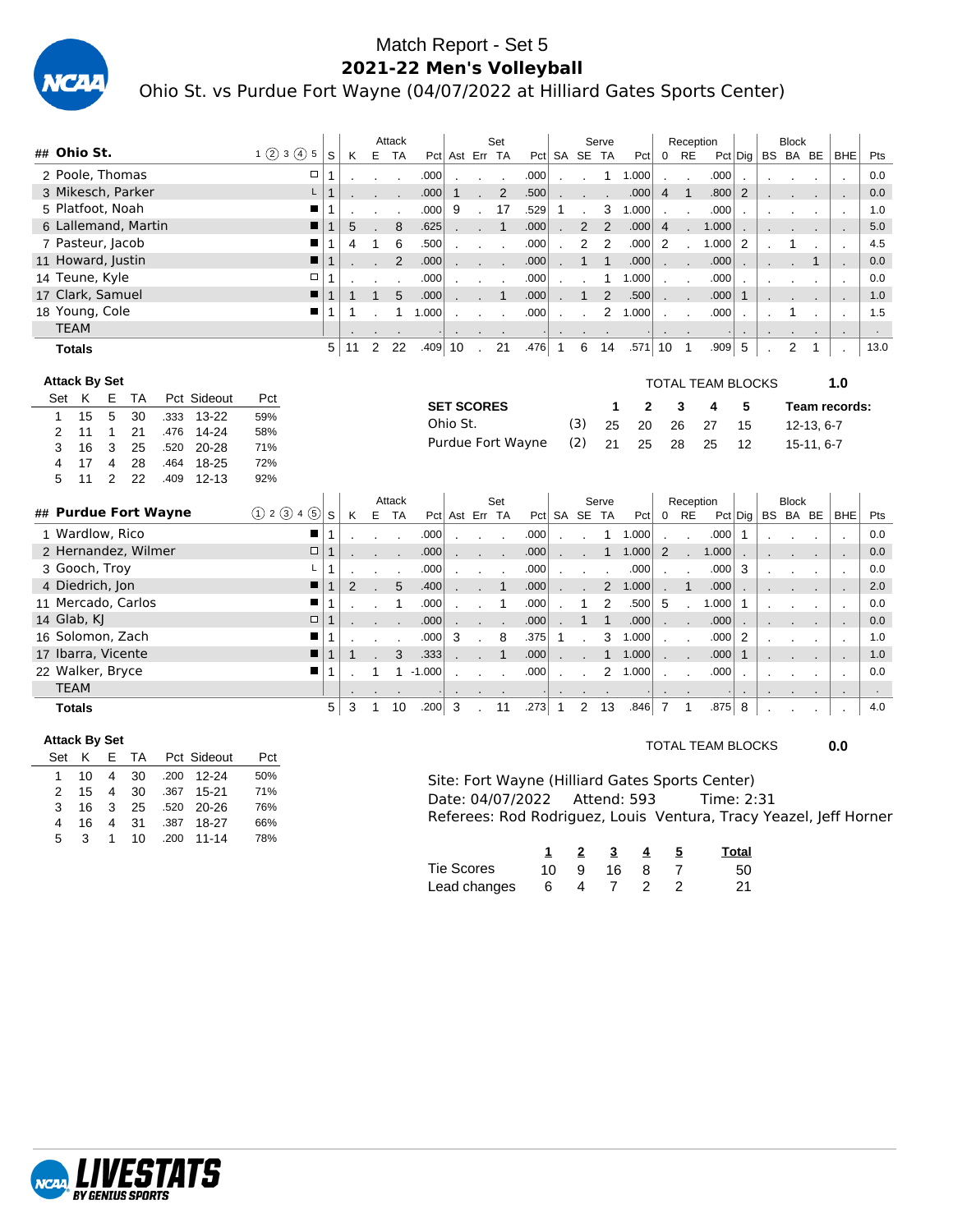

### Match Report - Set 5 **2021-22 Men's Volleyball** Ohio St. vs Purdue Fort Wayne (04/07/2022 at Hilliard Gates Sports Center)

| ## Ohio St.                                             |                        |                |   | Attack              |             |              |                          | Set                  |                   |                |                          | Serve          |              |                      | Reception                |                          |                |    | <b>Block</b>   |              |                |        |
|---------------------------------------------------------|------------------------|----------------|---|---------------------|-------------|--------------|--------------------------|----------------------|-------------------|----------------|--------------------------|----------------|--------------|----------------------|--------------------------|--------------------------|----------------|----|----------------|--------------|----------------|--------|
|                                                         | 1(2)3(4)5<br>S         | K              |   | E TA                |             |              | Pct Ast Err TA           |                      |                   | Pct SA SE TA   |                          |                | Pct          | 0 RE                 |                          |                          | Pct Dig        |    |                | BS BA BE     | BHE            | Pts    |
| 2 Poole. Thomas                                         | $\Box$<br>$\mathbf 1$  |                |   | $\blacksquare$      | .000        |              | $\blacksquare$           | $\mathbf{r}$         | .000              | $\overline{a}$ | $\overline{\phantom{a}}$ | $\mathbf{1}$   | 1.000        | $\cdot$              | $\mathbf{r}$             | .000                     |                |    |                |              | $\cdot$        | 0.0    |
| 3 Mikesch, Parker                                       | L<br>$\mathbf{1}$      |                |   |                     | .000        | $\mathbf{1}$ | ÷.                       | $\overline{2}$       | .500              |                |                          |                | .000         | $\overline{4}$       | $\mathbf{1}$             | .800                     | $\overline{2}$ |    |                |              |                | 0.0    |
| 5 Platfoot, Noah                                        | п<br>1                 |                |   |                     | .000        | 9            | $\blacksquare$           | 17                   | .529              | 1              |                          | 3              | 1.000        | $\ddot{\phantom{a}}$ | $\cdot$                  | .000                     |                |    |                |              | $\cdot$        | 1.0    |
| 6 Lallemand, Martin                                     | п<br>$\mathbf{1}$      | 5              |   | 8                   | .625        |              |                          | $\mathbf{1}$         | .000              |                | 2                        | $\overline{2}$ | .000         | $\overline{4}$       | ۰                        | 1.000                    |                |    |                |              |                | 5.0    |
| 7 Pasteur, Jacob                                        | П<br>1                 | 4              | 1 | 6                   | .500        |              | $\overline{\phantom{a}}$ | $\ddot{\phantom{a}}$ | .000              | $\overline{a}$ | $\overline{2}$           | $\overline{2}$ | .000         | 2                    | $\cdot$                  | 1.000                    | 2              |    |                |              | $\cdot$        | 4.5    |
| 11 Howard, Justin                                       | п<br>$\mathbf{1}$      |                |   | 2                   | .000        |              |                          |                      | .000              |                | $\mathbf{1}$             | $\mathbf{1}$   | .000         | ۰                    | $\overline{\phantom{a}}$ | .000                     |                |    |                | $\mathbf{1}$ |                | 0.0    |
| 14 Teune, Kyle                                          | $\Box$<br>$\mathbf{1}$ |                |   |                     | .000        |              |                          |                      | .000              |                |                          | 1              | 1.000        | $\mathbf{r}$         | $\blacksquare$           | .000                     |                |    |                |              | $\cdot$        | 0.0    |
| 17 Clark, Samuel                                        | П<br>$\mathbf{1}$      | 1              | 1 | 5                   | .000        |              |                          | $\mathbf{1}$         | .000              |                | $\mathbf{1}$             | $\overline{2}$ | .500         |                      | $\overline{\phantom{a}}$ | .000                     | $\mathbf{1}$   |    |                |              |                | 1.0    |
| 18 Young, Cole                                          | п<br>$\mathbf{1}$      | 1              |   | 1                   | 1.000       |              |                          |                      | .000              |                |                          | $\mathbf{2}$   | 1.000        | $\ddot{\phantom{a}}$ | $\mathbf{r}$             | .000                     |                |    |                |              | $\cdot$        | 1.5    |
| <b>TEAM</b>                                             |                        |                |   |                     |             |              |                          |                      |                   |                |                          |                |              | $\blacksquare$       |                          |                          |                |    |                |              |                | $\sim$ |
| <b>Totals</b>                                           | 5                      | 11             | 2 | 22                  | $.409$ 10   |              | $\mathbf{r}$             | 21                   | .476              | $\mathbf{1}$   | 6                        | 14             | .571         | 10                   | $\overline{\phantom{0}}$ | .909                     | 5              | J. | $\overline{2}$ | 1            |                | 13.0   |
| <b>Attack By Set</b>                                    |                        |                |   |                     |             |              |                          |                      |                   |                |                          |                |              |                      |                          |                          |                |    |                |              |                |        |
| Set K<br>Pct Sideout<br>Е<br><b>TA</b>                  | Pct                    |                |   |                     |             |              |                          |                      |                   |                |                          |                |              |                      |                          | <b>TOTAL TEAM BLOCKS</b> |                |    |                |              | 1.0            |        |
| 5<br>15<br>30<br>.333<br>$13 - 22$                      | 59%                    |                |   |                     |             |              | <b>SET SCORES</b>        |                      |                   |                |                          | 1              | $\mathbf{2}$ |                      | 3                        | 4                        | 5              |    |                |              | Team records:  |        |
| 1<br>$\mathbf{1}$<br>21<br>$14 - 24$<br>2<br>11<br>.476 | 58%                    |                |   |                     |             | Ohio St.     |                          |                      |                   |                | (3)                      | 25             | 20           | 26                   |                          | 27                       | 15             |    |                | 12-13, 6-7   |                |        |
| 25<br>3<br>3<br>$20 - 28$<br>16<br>.520                 | 71%                    |                |   |                     |             |              |                          |                      | Purdue Fort Wayne |                | (2)                      | 21             | 25           | 28                   |                          | 25                       | 12             |    |                | 15-11, 6-7   |                |        |
| 28<br>18-25<br>17<br>4<br>4<br>.464                     | 72%                    |                |   |                     |             |              |                          |                      |                   |                |                          |                |              |                      |                          |                          |                |    |                |              |                |        |
| 22<br>5<br>2<br>.409<br>$12 - 13$<br>11                 | 92%                    |                |   |                     |             |              |                          |                      |                   |                |                          |                |              |                      |                          |                          |                |    |                |              |                |        |
|                                                         |                        |                |   |                     |             |              |                          |                      |                   |                |                          |                |              |                      |                          |                          |                |    |                |              |                |        |
| ## Purdue Fort Wayne                                    | (1) 2 (3) 4 (5)<br>S   | K              | E | Attack<br><b>TA</b> |             |              | Pct Ast Err TA           | Set                  |                   | Pct SA SE TA   |                          | Serve          | Pct          | $\mathbf{0}$         | Reception<br><b>RE</b>   |                          | $Pct$ Dig      |    | <b>Block</b>   | BS BA BE     | <b>BHE</b>     | Pts    |
| 1 Wardlow, Rico                                         | п<br>$\mathbf 1$       |                |   | $\cdot$             | .000        |              |                          | $\mathbf{r}$         | .000              |                |                          | $\mathbf{1}$   | 1.000        | $\cdot$              | $\mathbf{r}$             | .000                     | $\mathbf{1}$   |    |                |              |                | 0.0    |
| 2 Hernandez, Wilmer                                     | $\Box$<br>$\mathbf{1}$ |                |   |                     | .000        |              |                          |                      | .000              |                |                          | $\mathbf{1}$   | 1.000        | $\overline{2}$       | $\ddot{\phantom{0}}$     | 1.000                    |                |    |                |              |                | 0.0    |
| 3 Gooch, Troy                                           | L<br>1                 |                |   |                     | .000        |              |                          |                      | .000              |                |                          |                | .000         |                      |                          | .000                     | 3              |    |                |              | $\cdot$        | 0.0    |
| 4 Diedrich, Jon                                         | п<br>$\mathbf{1}$      | $\overline{2}$ |   | 5                   | .400        |              |                          | $\mathbf{1}$         | .000              |                |                          | $\overline{2}$ | 1.000        |                      | $\mathbf{1}$             | .000                     |                |    |                |              |                | 2.0    |
| 11 Mercado, Carlos                                      | п<br>$\mathbf{1}$      |                |   | $\mathbf{1}$        | .000        |              |                          | 1                    | .000              |                | 1                        | $\overline{2}$ | .500         | 5                    | $\mathbf{r}$             | 1.000                    | $\mathbf{1}$   |    |                |              | $\cdot$        | 0.0    |
| 14 Glab, KJ                                             | $\Box$<br>$\mathbf{1}$ |                |   |                     | .000        |              |                          |                      | .000              |                | $\mathbf{1}$             | $\mathbf{1}$   | .000         | $\mathbf{r}$         | $\mathbf{r}$             | .000                     |                |    |                |              |                | 0.0    |
| 16 Solomon, Zach                                        | п<br>1                 |                |   |                     | .000        | 3            |                          | 8                    | .375              | 1              |                          | 3              | 1.000        | $\overline{a}$       | $\mathbf{r}$             | .000                     | 2              |    |                |              | $\cdot$        | 1.0    |
| 17 Ibarra, Vicente                                      | п<br>1                 | 1              |   | 3                   | .333        |              |                          | $\mathbf{1}$         | .000              |                |                          | $\mathbf{1}$   | 1.000        |                      |                          | .000                     | $\mathbf{1}$   |    |                |              |                | 1.0    |
| 22 Walker, Bryce                                        | ■<br>1                 |                | 1 |                     | $1 - 1.000$ |              |                          |                      | .000              |                |                          | $\overline{2}$ | 1.000        |                      |                          | .000                     |                |    |                |              | $\cdot$        | 0.0    |
| <b>TEAM</b>                                             |                        |                |   |                     |             |              |                          |                      |                   |                |                          |                |              |                      |                          |                          |                |    |                |              | $\blacksquare$ |        |
| <b>Totals</b>                                           | 5                      | 3              | 1 | 10                  | .200        | 3            |                          | 11                   | .273              | $\mathbf{1}$   | $\overline{2}$           | 13             | .846         | $\overline{7}$       | $\mathbf{1}$             | .875                     | 8              |    |                |              |                | 4.0    |
|                                                         |                        |                |   |                     |             |              |                          |                      |                   |                |                          |                |              |                      |                          |                          |                |    |                |              |                |        |
| <b>Attack By Set</b>                                    |                        |                |   |                     |             |              |                          |                      |                   |                |                          |                |              |                      |                          | <b>TOTAL TEAM BLOCKS</b> |                |    |                |              | 0.0            |        |
| Set K<br>E TA<br>Pct Sideout                            | Pct                    |                |   |                     |             |              |                          |                      |                   |                |                          |                |              |                      |                          |                          |                |    |                |              |                |        |

| Set           | ĸ  |   |    | E TA Pct Sideout | Pct |
|---------------|----|---|----|------------------|-----|
| 1.            | 10 |   |    | 4 30 .200 12-24  | 50% |
| $\mathcal{P}$ | 15 | 4 | 30 | .367 15-21       | 71% |
| $\mathcal{R}$ | 16 |   |    | 3 25 .520 20-26  | 76% |
| 4             | 16 | 4 | 31 | .387 18-27       | 66% |
| 5             | ٩  | 1 |    | 10 .200 11-14    | 78% |

| Site: Fort Wayne (Hilliard Gates Sports Center)                   |  |  |
|-------------------------------------------------------------------|--|--|
| Date: 04/07/2022    Attend: 593    Ime: 2:31                      |  |  |
| Referees: Rod Rodriguez, Louis Ventura, Tracy Yeazel, Jeff Horner |  |  |

|              |   | 2 | - 3       | -4 | Total |
|--------------|---|---|-----------|----|-------|
| Tie Scores   |   |   | 10 9 16 8 |    | 50.   |
| Lead changes | 6 |   | 4 7 2     |    | -21   |

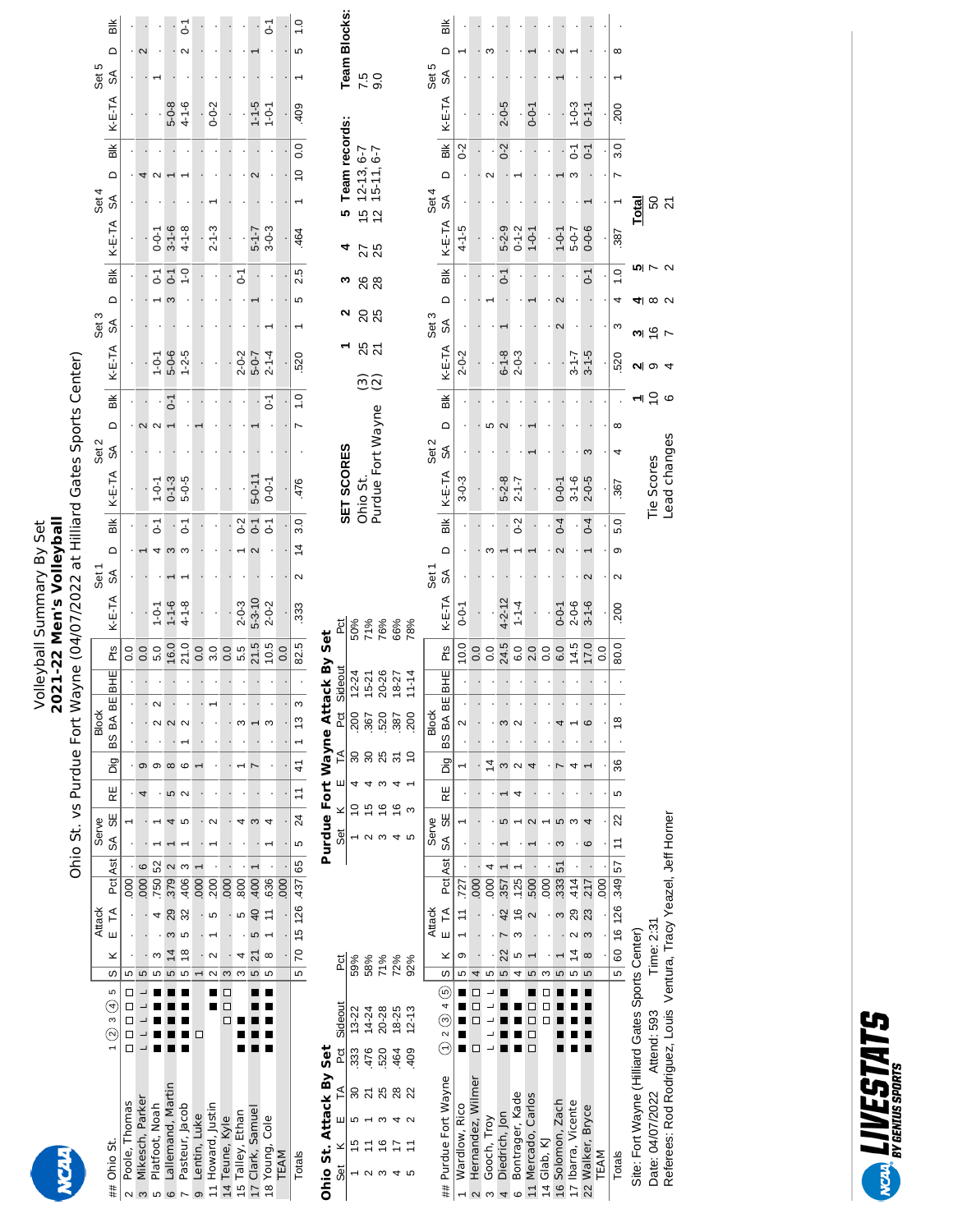23 A 53 A 53 A 53 A 53 A 53

## Ohio St. vs Purdue Fort Wayne (04/07/2022 at Hilliard Gates Sports Center) Volleyball Summary By Set<br>2021-22 Men's Volleyball **2021-22 Men's Volleyball** Volleyball Summary By Set

| $\frac{1}{2}$            |                                                                                                                                                                                                                                                                                                                                                                                                                                                                                            |  |               |         |                 |       | Ohio St. vs Purdue Fort W |  |               |  | Nayne (04/07/2022 at Hilliard Gates Sports Center)                                                                                                                                                                                                                                                                                                                                                                                     |       |  |                              |       |  |       |                           |       |               |       |  |
|--------------------------|--------------------------------------------------------------------------------------------------------------------------------------------------------------------------------------------------------------------------------------------------------------------------------------------------------------------------------------------------------------------------------------------------------------------------------------------------------------------------------------------|--|---------------|---------|-----------------|-------|---------------------------|--|---------------|--|----------------------------------------------------------------------------------------------------------------------------------------------------------------------------------------------------------------------------------------------------------------------------------------------------------------------------------------------------------------------------------------------------------------------------------------|-------|--|------------------------------|-------|--|-------|---------------------------|-------|---------------|-------|--|
|                          |                                                                                                                                                                                                                                                                                                                                                                                                                                                                                            |  | <b>Attack</b> |         |                 | Serve |                           |  | <b>Block</b>  |  |                                                                                                                                                                                                                                                                                                                                                                                                                                        | Set 1 |  |                              | Set 2 |  | Set 3 |                           | Set 4 |               | Set 5 |  |
| # Ohio St.               | 1 ② 3 ④ 5 │S│ K E TA Pct│Ast│ SA SE│ RE│ Dig│BS BA BE│BHE│ Pts│ K-E-TA SA D Blk│ K-E-TA SA D Blk│ K-E-TA SA D AN D Blk                                                                                                                                                                                                                                                                                                                                                                     |  |               |         |                 |       |                           |  |               |  |                                                                                                                                                                                                                                                                                                                                                                                                                                        |       |  |                              |       |  |       |                           |       |               |       |  |
| Poole, Thomas            |                                                                                                                                                                                                                                                                                                                                                                                                                                                                                            |  |               |         | $\frac{1}{1}$ . |       |                           |  |               |  |                                                                                                                                                                                                                                                                                                                                                                                                                                        |       |  |                              |       |  |       |                           |       |               |       |  |
| Mikesch, Parker          |                                                                                                                                                                                                                                                                                                                                                                                                                                                                                            |  |               | $000$ 6 |                 |       |                           |  |               |  |                                                                                                                                                                                                                                                                                                                                                                                                                                        |       |  |                              |       |  |       |                           |       |               |       |  |
| Platfoot, Noah           | $\blacksquare$ $\blacksquare$ $\blacksquare$ $\blacksquare$ $\blacksquare$ $\blacksquare$ $\blacksquare$ $\blacksquare$ $\blacksquare$ $\blacksquare$ $\blacksquare$ $\blacksquare$ $\blacksquare$ $\blacksquare$ $\blacksquare$ $\blacksquare$ $\blacksquare$ $\blacksquare$ $\blacksquare$ $\blacksquare$ $\blacksquare$ $\blacksquare$ $\blacksquare$ $\blacksquare$ $\blacksquare$ $\blacksquare$ $\blacksquare$ $\blacksquare$ $\blacksquare$ $\blacksquare$ $\blacksquare$ $\blacks$ |  |               |         |                 |       |                           |  | $\frac{2}{1}$ |  | $2   .   5.0   1 - 0 - 1$                                                                                                                                                                                                                                                                                                                                                                                                              |       |  | $-7 - 0 - 1 - 0 = 1 - 0 - 1$ |       |  |       | T-0-0   T-0 μ   T-0-μ   · |       |               |       |  |
| 医心理 医心理 医心理 医心理 医心理 医心理学 |                                                                                                                                                                                                                                                                                                                                                                                                                                                                                            |  |               |         |                 |       |                           |  | j             |  | $\begin{array}{c} \mathbf{1} & \mathbf{1} & \mathbf{1} & \mathbf{1} & \mathbf{1} \\ \mathbf{1} & \mathbf{1} & \mathbf{1} & \mathbf{1} & \mathbf{1} \\ \mathbf{1} & \mathbf{1} & \mathbf{1} & \mathbf{1} & \mathbf{1} \\ \mathbf{1} & \mathbf{1} & \mathbf{1} & \mathbf{1} & \mathbf{1} \\ \mathbf{1} & \mathbf{1} & \mathbf{1} & \mathbf{1} & \mathbf{1} \\ \mathbf{1} & \mathbf{1} & \mathbf{1} & \mathbf{1} & \mathbf{1} \\ \mathbf$ |       |  |                              |       |  |       |                           |       | $\frac{1}{2}$ |       |  |

| LÇ,                        |                                                                                                                                                                                                                                                                                                                                                                                                                                                                                            |                          |               |                                        |        |    |                                              |                                 |   |               |        |        |       |             |                |                |              |             |                |                                           |                    |             |                 |       |               |                     |               |
|----------------------------|--------------------------------------------------------------------------------------------------------------------------------------------------------------------------------------------------------------------------------------------------------------------------------------------------------------------------------------------------------------------------------------------------------------------------------------------------------------------------------------------|--------------------------|---------------|----------------------------------------|--------|----|----------------------------------------------|---------------------------------|---|---------------|--------|--------|-------|-------------|----------------|----------------|--------------|-------------|----------------|-------------------------------------------|--------------------|-------------|-----------------|-------|---------------|---------------------|---------------|
| Platfoot, Noah             | $\blacksquare$ $\blacksquare$ $\blacksquare$ $\blacksquare$ $\blacksquare$ $\blacksquare$ $\blacksquare$ $\blacksquare$ $\blacksquare$ $\blacksquare$ $\blacksquare$ $\blacksquare$ $\blacksquare$ $\blacksquare$ $\blacksquare$ $\blacksquare$ $\blacksquare$ $\blacksquare$ $\blacksquare$ $\blacksquare$ $\blacksquare$ $\blacksquare$ $\blacksquare$ $\blacksquare$ $\blacksquare$ $\blacksquare$ $\blacksquare$ $\blacksquare$ $\blacksquare$ $\blacksquare$ $\blacksquare$ $\blacks$ |                          |               |                                        |        |    |                                              | $\frac{1}{2}$                   | တ |               | $\sim$ | $\sim$ | 5.0   |             | $1 - 0 - 1$    | $-0-1$         | $1 - 0 - 1$  |             |                |                                           | $rac{1}{\sqrt{2}}$ | $0 - 0 - 1$ |                 |       |               |                     |               |
| Lallemand, Martin<br>Ġ     | $\blacksquare$ $\blacksquare$ $\blacksquare$ $\blacksquare$ $\blacksquare$ $\blacksquare$ $\blacksquare$ $\blacksquare$ $\blacksquare$ $\blacksquare$ $\blacksquare$ $\blacksquare$ $\blacksquare$ $\blacksquare$ $\blacksquare$ $\blacksquare$ $\blacksquare$ $\blacksquare$ $\blacksquare$ $\blacksquare$ $\blacksquare$ $\blacksquare$ $\blacksquare$ $\blacksquare$ $\blacksquare$ $\blacksquare$ $\blacksquare$ $\blacksquare$ $\blacksquare$ $\blacksquare$ $\blacksquare$ $\blacks$ |                          |               |                                        |        |    |                                              | LO                              |   |               |        |        |       | 16.0        | $1 - 1 - 6$    |                | $0 - 1 - 3$  |             | $\overline{c}$ |                                           | $6-1$              | $3 - 1 - 6$ |                 |       | $5 - 0 - 8$   |                     |               |
|                            |                                                                                                                                                                                                                                                                                                                                                                                                                                                                                            |                          |               |                                        |        |    |                                              |                                 |   |               |        |        |       |             |                |                |              |             |                |                                           |                    |             |                 |       |               |                     |               |
| Pasteur, Jacob             | $\blacksquare$ $\blacksquare$ $\blacksquare$ $\blacksquare$ $\blacksquare$ $\blacksquare$ $\blacksquare$                                                                                                                                                                                                                                                                                                                                                                                   |                          |               | $5$ 32 $.406$ 3                        |        |    |                                              | $\sim$                          |   |               |        |        | 21.0  |             | $4 - 1 - 8$    | 5              | $5 - 0 - 5$  |             |                | $1 - 0 - 6$<br>$5 - 0 - 6$<br>$1 - 2 - 5$ | $-1$               | $4 - 1 - 8$ |                 |       | $4 - 1 - 6$   |                     | ۲<br>م        |
| Lentin, Luke<br>o.         |                                                                                                                                                                                                                                                                                                                                                                                                                                                                                            |                          |               |                                        | 000    |    |                                              |                                 |   |               |        |        |       |             |                |                |              |             |                |                                           |                    |             |                 |       |               |                     |               |
| 11 Howard, Justin          |                                                                                                                                                                                                                                                                                                                                                                                                                                                                                            | $\frac{2}{\blacksquare}$ | $\frac{1}{2}$ |                                        | $-200$ |    |                                              |                                 |   |               |        |        |       |             |                |                |              |             |                |                                           |                    | $2 - 1 - 3$ |                 |       | $0 - 0 - 2$   |                     |               |
| 14 Teune, Kyle             | 0<br>0<br>0                                                                                                                                                                                                                                                                                                                                                                                                                                                                                | $\frac{1}{3}$            |               |                                        |        |    |                                              |                                 |   |               |        |        |       |             |                |                |              |             |                |                                           |                    |             |                 |       |               |                     |               |
| 15 Talley, Ethan           | $\overline{\phantom{a}}$                                                                                                                                                                                                                                                                                                                                                                                                                                                                   | ო                        |               |                                        | .800   |    |                                              |                                 |   |               | m      |        |       | 5.5         | $2 - 0 - 3$    | $0-2$          |              |             |                |                                           | $\overline{c}$     |             |                 |       |               |                     |               |
| 17 Clark, Samuel           | $\blacksquare$ $\blacksquare$ $\blacksquare$ $\blacksquare$ $\blacksquare$ $\blacksquare$ $\blacksquare$ $\blacksquare$ $\blacksquare$ $\blacksquare$ $\blacksquare$ $\blacksquare$ $\blacksquare$ $\blacksquare$ $\blacksquare$ $\blacksquare$ $\blacksquare$ $\blacksquare$ $\blacksquare$ $\blacksquare$ $\blacksquare$ $\blacksquare$ $\blacksquare$ $\blacksquare$ $\blacksquare$ $\blacksquare$ $\blacksquare$ $\blacksquare$ $\blacksquare$ $\blacksquare$ $\blacksquare$ $\blacks$ |                          |               |                                        |        |    |                                              |                                 |   |               |        |        | 21.5  |             | $5 - 3 - 10$   | $\overline{0}$ | $5 - 0 - 11$ |             |                | $2 - 0 - 7$<br>$5 - 0 - 7$<br>$2 - 1 - 4$ |                    | $5 - 1 - 7$ |                 |       | $1 - 5$       |                     |               |
| 18 Young, Cole             |                                                                                                                                                                                                                                                                                                                                                                                                                                                                                            | $\frac{5}{2}$            | $\infty$      | 11 .636                                |        |    |                                              |                                 |   |               |        |        |       | 10.5        | $2 - 0 - 2$    | 5              | $-0 - 1$     |             | 5              |                                           |                    | $3 - 0 - 3$ |                 |       | $\frac{1}{2}$ |                     | ě             |
| TEAM                       |                                                                                                                                                                                                                                                                                                                                                                                                                                                                                            |                          |               |                                        | .000   | ĵ. | $\ddot{\phantom{0}}$<br>$\ddot{\phantom{0}}$ | $\overline{\phantom{a}}$        |   | $\frac{1}{1}$ |        |        |       |             |                |                |              |             |                |                                           |                    |             |                 |       |               |                     |               |
| Totals                     |                                                                                                                                                                                                                                                                                                                                                                                                                                                                                            |                          |               | 5 70 15 126 437 65 5 24 11 41 1 1 13 3 |        |    |                                              |                                 |   |               |        |        |       | 82.5        | $\sim$<br>.333 | $14 \t3.0$     | .476         | $rac{1}{2}$ |                | .520                                      | 5 2.5              | .464        |                 | 10000 | 409           |                     | $\frac{0}{1}$ |
| Ohio St. Attack By Set     |                                                                                                                                                                                                                                                                                                                                                                                                                                                                                            |                          |               |                                        |        |    |                                              | Purdue Fort Wayne Attack By Set |   |               |        |        |       |             |                |                |              |             |                |                                           |                    |             |                 |       |               |                     |               |
| Set K E TA Pat Sideout Pat |                                                                                                                                                                                                                                                                                                                                                                                                                                                                                            |                          |               |                                        |        |    |                                              | Set K E TA Pct Sid              |   |               |        |        | leoui | ă           |                |                | SET SCORES   |             |                |                                           |                    |             | 5 Team records: |       |               | <b>Team Blocks:</b> |               |
| 17 17 19 19 19 19 1        |                                                                                                                                                                                                                                                                                                                                                                                                                                                                                            | $E_{\rm OQ}$             |               |                                        |        |    |                                              | unu vu vu vu v                  |   |               |        |        |       | <b>E</b> OO |                |                |              |             |                |                                           |                    |             |                 |       |               |                     |               |

## $\overline{\circ}$  |

| $\overline{\phantom{a}}$<br>J<br>$\overline{\phantom{a}}$<br>5 | DODDD JL                                                   |             | Ž                        |                     |                             |         | らり | $\overline{\phantom{a}}$ | J  | $\overline{\phantom{a}}$ | ž                 | <b>Dinance</b> |                | 킥                        |                   |                         | <b>SET SCORES</b> |       |                          |                    |             |               | m             |             |       | 5 Team records:                    |             |            | Team Blocks: |   |
|----------------------------------------------------------------|------------------------------------------------------------|-------------|--------------------------|---------------------|-----------------------------|---------|----|--------------------------|----|--------------------------|-------------------|----------------|----------------|--------------------------|-------------------|-------------------------|-------------------|-------|--------------------------|--------------------|-------------|---------------|---------------|-------------|-------|------------------------------------|-------------|------------|--------------|---|
| ౚ                                                              | $13 - 22$<br>333                                           |             | 59%                      |                     |                             |         |    |                          |    | 8                        | 200               | $2 - 24$       |                |                          |                   |                         |                   |       |                          |                    |             |               |               |             |       |                                    |             |            |              |   |
|                                                                | 476                                                        |             | 58%                      |                     |                             |         |    |                          |    |                          | .367              | $5-21$         |                |                          |                   |                         | Ohio St.          |       |                          | $\widehat{\omega}$ | <b>ន</b> ភ  | <u>ន</u><br>ឧ | 88<br>28      | 25<br>25    |       | 15 12-13, 6-7<br>12 15-11, 6-7     |             | 7.5<br>0.0 |              |   |
|                                                                | $14 - 24$                                                  |             |                          |                     |                             |         |    |                          |    |                          |                   |                |                |                          |                   |                         | Purdue Fort Wayne |       |                          |                    |             |               |               |             |       |                                    |             |            |              |   |
|                                                                | 20-28<br>520                                               |             | 71%                      |                     |                             |         |    |                          |    |                          | 520               | $0 - 26$       |                |                          |                   |                         |                   |       |                          |                    |             |               |               |             |       |                                    |             |            |              |   |
|                                                                | 18-25<br>464                                               |             | 72%                      |                     |                             |         |    |                          |    |                          | .387              | $8 - 27$       |                | 50%<br>71%<br>76%<br>78% |                   |                         |                   |       |                          |                    |             |               |               |             |       |                                    |             |            |              |   |
|                                                                | $12 - 13$<br>409                                           |             | 92%                      |                     |                             |         |    |                          |    |                          | $\frac{200}{200}$ | $1 - 14$       |                |                          |                   |                         |                   |       |                          |                    |             |               |               |             |       |                                    |             |            |              |   |
|                                                                |                                                            |             |                          | <b>Attack</b>       |                             |         |    | Serve                    |    |                          | <b>Block</b>      |                |                |                          | Set <sub>1</sub>  |                         |                   | Set 2 |                          |                    |             | Set 3         |               |             | Set 4 |                                    |             | Set 5      |              |   |
| ## Purdue Fort Wayne                                           | $\textcircled{12}$ 2 $\textcircled{3}$ 4 $\textcircled{5}$ |             | $\overline{\mathcal{O}}$ | $E$ TA<br>×         |                             | Pct Ast | SA | ₩                        | RE | Dig<br>Di                | BS BA BE          | BHE            | Pts            | K-E-TA                   | $\delta$          | Bik  <br>$\overline{a}$ | K-E-TA            | SA    | $\overline{\phantom{0}}$ | i<br>高             | K-E-TA      | $\circ$<br>SA | $\frac{1}{2}$ | K-E-TA      | S     | Bik <sup>l</sup><br>$\overline{a}$ | K-E-TA      | $\delta$   | ≏            | ă |
| Wardlow, Rico                                                  |                                                            | щ           | Ю                        | σ                   | .727                        |         |    |                          |    |                          | ᠭ                 |                | 10.0           | $0 - 0 - 1$              |                   |                         | $3 - 0 - 3$       |       |                          |                    | $2 - 0 - 2$ |               |               | $4 - 1 - 5$ |       | $0-2$                              |             |            |              |   |
| Hernandez, Wilmer<br>$\mathbf{\Omega}$                         | □                                                          | 8<br>8<br>8 |                          |                     |                             |         |    |                          |    |                          |                   |                | 0.0            |                          |                   |                         |                   |       |                          |                    |             |               |               |             |       |                                    |             |            |              |   |
| Gooch, Troy                                                    |                                                            |             |                          |                     |                             |         |    |                          |    | 4                        |                   |                | $\overline{0}$ |                          |                   |                         |                   |       |                          |                    |             |               |               |             |       |                                    |             |            |              |   |
| Diedrich, Jon                                                  |                                                            |             | 5                        | 22                  | .357<br>42                  |         |    | 5                        |    | m                        | m                 |                | 24.5           | $4 - 2 - 12$             |                   |                         | $5 - 2 - 8$       |       |                          |                    | $6 - 1 - 8$ |               | 5             | $5 - 2 - 9$ |       | $0-2$                              | $2 - 0 - 5$ |            |              |   |
| Bontrager, Kade<br>C                                           |                                                            |             | 4                        | m<br>ഥ              | <b>125</b><br>$\frac{6}{1}$ |         |    |                          |    |                          |                   |                | C.O            | $1 - 1 - 4$              |                   | $0 - 2$                 | $2 - 1 - 7$       |       |                          |                    | $2 - 0 - 3$ |               |               | $0 - 1 - 2$ |       |                                    |             |            |              |   |
| 11 Mercado, Carlos                                             | ■ □ □ □<br>$\Box$                                          |             | 5                        |                     | .500                        |         |    |                          |    |                          |                   |                | 2.0            |                          |                   |                         |                   |       |                          |                    |             |               |               | $-0-1$      |       |                                    | $0 - 0 - 1$ |            |              |   |
| 14 Glab, KJ                                                    | О                                                          |             |                          |                     | $\frac{00}{1}$              | ,       |    |                          |    |                          |                   |                | $\overline{0}$ |                          |                   |                         |                   |       |                          |                    |             |               |               |             |       |                                    |             |            |              |   |
| 16 Solomon, Zach                                               |                                                            |             | 5                        |                     | 333                         | 51      |    |                          |    |                          |                   |                | 0.0            | $0 - 0 - 1$              |                   | $0 - 4$                 | $0 - 0 - 1$       |       |                          |                    |             |               |               | $1 - 0 - 1$ |       |                                    |             |            |              |   |
| 17 Ibarra, Vicente                                             |                                                            |             | Ю                        | $\sim$<br>4         | .414<br>29                  |         |    |                          |    |                          |                   |                | 14.5           | $2 - 0 - 6$              |                   |                         | $3 - 1 - 6$       |       |                          |                    | $3 - 1 - 7$ |               |               | $5 - 0 - 7$ |       | 5                                  | $1 - 0 - 3$ |            |              |   |
| 22 Walker, Bryce                                               |                                                            |             | Ю                        | m<br>$\infty$       | .217<br>23                  |         | G  |                          |    |                          | ဖ                 |                | 17.0           | $3 - 1 - 6$              | $\mathbf{\Omega}$ | $0 - 4$                 | $2 - 0 - 5$       | ო     |                          |                    | $3 - 1 - 5$ |               | 5             | $0 - 0 - 6$ |       | 5                                  | $0 - 1 - 1$ |            |              |   |
| TEAM                                                           |                                                            |             |                          |                     | $\rm{SO}$                   |         |    |                          |    |                          |                   |                | $\overline{0}$ |                          |                   |                         |                   |       |                          |                    |             |               |               |             |       |                                    |             |            |              |   |
| Totals                                                         |                                                            |             | $\overline{5}$           | 60 16 126 349 57 11 |                             |         |    | $\approx$                | 5  | 36                       | ≌                 |                | 80.0           | <b>200</b>               |                   | 5.0<br>თ                | .367              |       | ∞                        |                    | 520         |               | $\frac{1}{2}$ | 387         |       | 78.0                               | <b>200</b>  |            | ∞            |   |

**5**

**Total** 

**4**

 $50 \overline{Q}$ 

**3 Total**

**2** 4

**ی** ا ≍ ا

Tie Scores Lead changes

Site: Fort Wayne Gate Sports Center) Date: 04/07/2022 Attend: 593 Time: 2:31

Site: Fort Wayne (Hilliard Gates Sports Center)

Referees: Rod Rodriguez, Louis Ventura, Tracy Yeazel, Jeff Horner

Date: 04/07/2022 Attend: 593 Time: 2:31<br>Referees: Rod Rodriguez, Louis Ventura, Tracy Yeazel, Jeff Horner

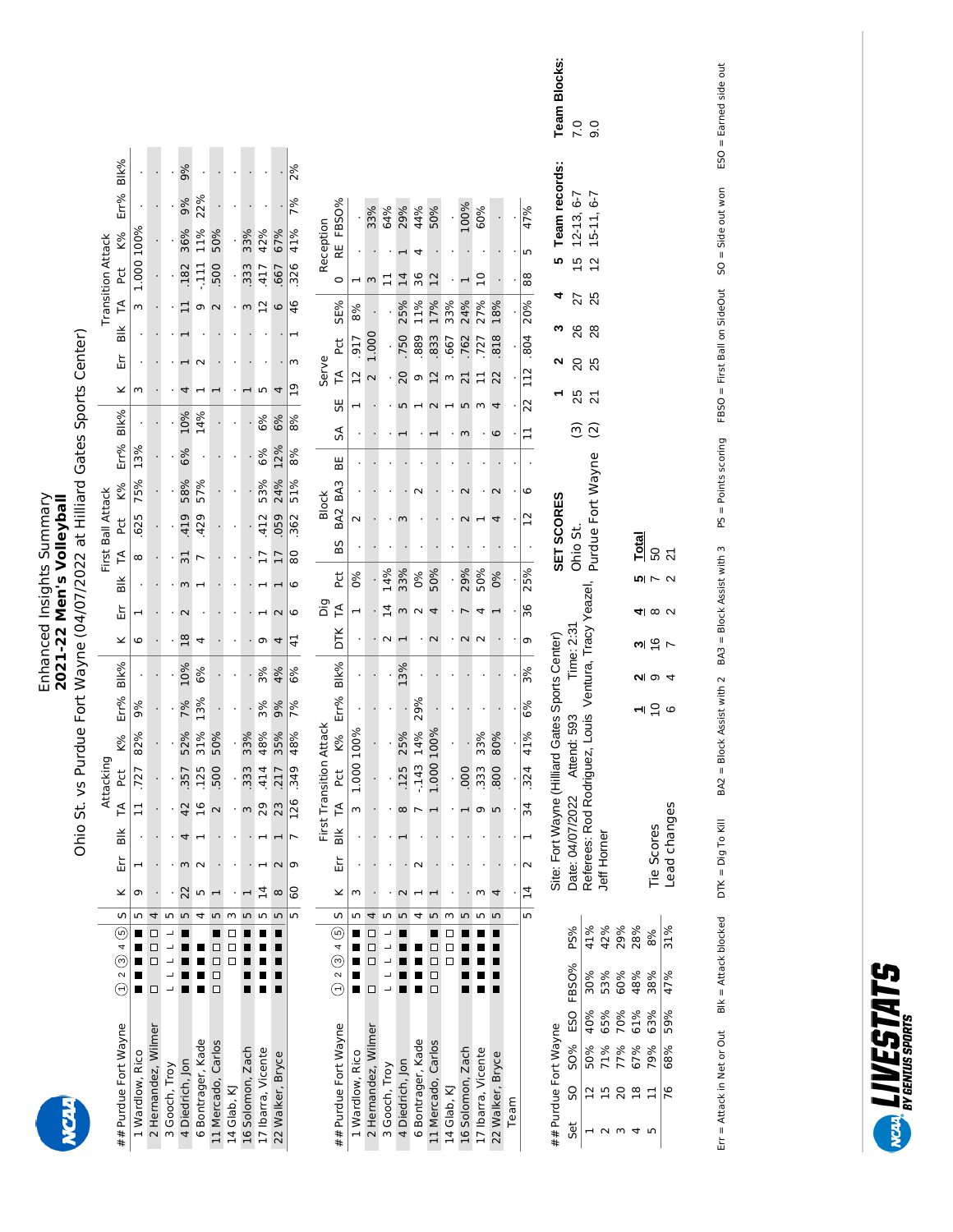# Enhanced Insights Summary<br>**2021-22 Men's Volleyball**<br>Ohio St. vs Purdue Fort Wayne (04/07/2022 at Hilliard Gates Sports Center) Enhanced Insights Summary **2021-22 Men's Volleyball**

Ohio St. vs Purdue Fort Wayne (04/07/2022 at Hilliard Gates Sports Center)

|                          |                     |                 |                     |               |                   |                   |                    |             |                  |                    |                  |                 |                         |                          |                       |                     |                          |                 |                   |                    |                |                          |                    |                      |      |                             | <b>Team Blocks:</b>        | 7.0                      | 0.6                                                   |                  |                   |                |              |                                 |  |
|--------------------------|---------------------|-----------------|---------------------|---------------|-------------------|-------------------|--------------------|-------------|------------------|--------------------|------------------|-----------------|-------------------------|--------------------------|-----------------------|---------------------|--------------------------|-----------------|-------------------|--------------------|----------------|--------------------------|--------------------|----------------------|------|-----------------------------|----------------------------|--------------------------|-------------------------------------------------------|------------------|-------------------|----------------|--------------|---------------------------------|--|
|                          |                     |                 |                     |               |                   |                   |                    |             |                  |                    |                  |                 |                         |                          |                       |                     |                          |                 |                   |                    |                |                          |                    |                      |      |                             |                            |                          |                                                       |                  |                   |                |              |                                 |  |
|                          | Blk%                |                 |                     |               | 9%                |                   |                    |             |                  |                    | ÷,               | 2%              |                         |                          |                       |                     |                          |                 |                   |                    |                |                          |                    |                      |      |                             | Team records:              |                          |                                                       |                  |                   |                |              |                                 |  |
|                          | Err%                |                 |                     |               | 9%                | 22%               |                    |             |                  |                    |                  | 7%              |                         |                          |                       | 33%                 | 64%                      | 29%             | 44%               | 50%                |                | 100%                     | 60%                |                      |      | 47%                         |                            | $12 - 13, 6 - 7$         | $15-11.6-7$                                           |                  |                   |                |              |                                 |  |
|                          | <b>K%</b>           |                 |                     |               | 36%               | 11%               | 50%                |             | 33%              | 42%                | 67%              | 41%             | Reception               | RE FBSO%                 |                       |                     |                          |                 | 4                 |                    |                |                          |                    |                      |      | 5                           |                            |                          |                                                       |                  |                   |                |              |                                 |  |
|                          | Pct                 | 1.000 100%      |                     |               | .182              | $-111$            | 500                |             | 333              | $-417$             | .667             | $\frac{326}{ }$ |                         | $\circ$                  |                       | $\epsilon$          | 븝                        | 14              | 36                | $\overline{12}$    |                |                          | $\overline{a}$     |                      |      | 88                          | 5                          | $\frac{1}{2}$            | $\overline{c}$                                        |                  |                   |                |              |                                 |  |
| <b>Transition Attack</b> | $\tilde{H}$         | m               |                     |               | 븝                 | თ                 | $\mathbf{\Omega}$  |             | $\epsilon$       | $\overline{12}$    | 0                | 46              |                         | SE%                      | 8%                    |                     |                          | 25%             | 11%               | 17%                | 33%            | 24%                      | 27%                | 18%                  |      | 20%                         |                            | 27                       | 25                                                    |                  |                   |                |              |                                 |  |
|                          | $\frac{1}{2}$       |                 |                     |               |                   |                   |                    |             |                  |                    |                  | ⊣               |                         |                          |                       |                     |                          |                 |                   |                    |                |                          |                    |                      |      |                             | ∾                          | 26                       | 28                                                    |                  |                   |                |              |                                 |  |
|                          | Ěr                  |                 |                     |               |                   | $\sim$            |                    |             |                  |                    |                  | ω               | Serve                   | <b>PC</b>                | 917                   | 1.000               |                          | 750             | .889              | 833                | 667            | 762                      | 727                | 818                  |      | 804                         | N                          | $\overline{c}$           | 25                                                    |                  |                   |                |              |                                 |  |
|                          | ×                   | $\sim$          |                     |               |                   |                   |                    |             |                  | S                  | 4                | $\overline{19}$ |                         | $\widetilde{\mathbb{F}}$ | $\overline{12}$       | $\sim$              |                          | 20              | G                 | $\frac{2}{3}$      |                | $\overline{c}$           | $\Box$             | 22                   |      | 112                         |                            | 25                       | $\overline{2}$                                        |                  |                   |                |              |                                 |  |
|                          | Blk%                |                 |                     |               | 10%               | 14%               |                    |             | $\cdot$          | 6%                 | 6%               | 8%              |                         | 55                       |                       |                     |                          | 5               | $\overline{ }$    | $\sim$             | $\blacksquare$ | S                        | $\epsilon$         | 4                    |      | 22                          |                            | $\widehat{\mathfrak{S}}$ | $\widehat{c}$                                         |                  |                   |                |              |                                 |  |
|                          | Err%                | 13%             |                     |               | 6%                |                   |                    |             |                  | 6%                 | 12%              | 8%              |                         | SA<br>BE                 |                       |                     |                          |                 |                   |                    |                | m                        |                    | 6                    |      | া                           |                            |                          |                                                       |                  |                   |                |              |                                 |  |
|                          | K%                  | 75%             |                     |               | 58%               | 57%               |                    |             |                  | 53%                | 24%              | 51%             |                         |                          |                       |                     |                          |                 | $\sim$            |                    |                | $\mathbf 2$              |                    | $\mathbf 2$          |      | 6                           |                            |                          |                                                       |                  |                   |                |              |                                 |  |
|                          |                     |                 |                     |               |                   |                   |                    |             |                  |                    |                  |                 | <b>Block</b>            | BA2 BA3                  | $\sim$                |                     |                          | m               |                   |                    |                |                          |                    |                      |      | 52                          |                            |                          |                                                       |                  |                   |                |              |                                 |  |
| First Ball Attack        | <b>PC</b>           | 625             |                     |               | 419               | 429               |                    |             |                  | 412                | 059              | 362             |                         | BS                       |                       |                     |                          |                 |                   |                    |                |                          |                    |                      |      |                             | SET SCORES                 | Ohio St.                 | Purdue Fort Wayne                                     |                  |                   | Total          |              |                                 |  |
|                          | F                   | $\infty$        |                     |               | $\overline{31}$   | $\overline{ }$    |                    |             |                  | F                  | $\overline{17}$  | 80              |                         | č                        | $\delta$              |                     | 14%                      | 33%             | 0%                | 50%                |                | 29%                      | 50%                | 0%                   |      | 25%                         |                            |                          |                                                       |                  |                   | ᄓ              | 50           | $\overline{2}$<br>$\sim \alpha$ |  |
|                          | $\frac{1}{2}$       |                 |                     |               | m                 |                   |                    |             |                  |                    | 1                | 6               | Dig                     | F                        | $\mathbf{\mathbf{r}}$ | ٠                   |                          |                 |                   |                    |                |                          |                    |                      |      | $\overline{\phantom{0}}$ 36 |                            |                          |                                                       |                  |                   |                |              |                                 |  |
|                          | 띺                   | ⊣               |                     |               | $\mathbf 2$<br>18 |                   |                    |             |                  |                    | $\sim$           | $\circ$         |                         | DТК                      |                       |                     | $\overline{4}$<br>$\sim$ | $\,$ $\,$       | $\sim$            | 4<br>$\sim$        |                | $\overline{ }$<br>$\sim$ | 4<br>$\sim$        |                      |      |                             |                            |                          |                                                       |                  |                   | 41             |              | $\infty$ $\sim$                 |  |
|                          | ×                   | စ               |                     |               |                   | 4                 |                    |             |                  | σ                  | 4                | $\overline{4}$  |                         |                          |                       |                     |                          |                 |                   |                    |                |                          |                    |                      |      | σ                           | Gates Sports Center)       | Time: 2:31               |                                                       |                  |                   | ω              |              | $rac{6}{7}$                     |  |
|                          | Blk%                |                 |                     |               | 10%               | 6%                |                    |             |                  | 3%                 | 4%               | 6%              |                         | Blk%                     |                       |                     |                          | 13%             |                   |                    |                |                          |                    | $\ddot{\phantom{0}}$ |      | 3%                          |                            |                          |                                                       |                  |                   |                | ବା ଦ 4       |                                 |  |
|                          | Err%                | 9%              |                     |               | 7%                | 13%               |                    |             |                  | 3%                 | 9%               | 7%              |                         | Err%                     |                       |                     |                          |                 | 29%               |                    |                |                          |                    |                      |      | 6%                          |                            |                          |                                                       |                  |                   |                | $-196$       |                                 |  |
|                          | K%                  | 82%             |                     |               | 52%               | 31%               | 50%                |             | 33%              | 48%                | 35%              | 48%             | First Transition Attack | K%                       | 1.000 100%            | Î,                  |                          | 25%             | 14%               | 1.000 100%         |                |                          | 33%                | 80%                  |      | 41%                         |                            | Attend: 593              |                                                       |                  |                   |                |              |                                 |  |
| Attacking                | <b>Pct</b>          | <b>727</b>      |                     |               | 357               | 125               | 500                |             | 333              | 414                | <b>Z17</b>       | 349             |                         | Pct                      |                       |                     |                          | 125             | $-143$            |                    |                | 000                      | 333                | 800                  |      | 324                         |                            |                          |                                                       |                  |                   |                |              |                                 |  |
|                          | F                   | $\Box$          |                     |               | 42                | 16                | 2                  |             | $\,$ $\,$        | 29                 | 23               | <b>126</b>      |                         | $\tilde{H}$              | m                     |                     |                          | $\infty$        |                   |                    |                | T                        | o n                |                      |      | $\overline{\mathbf{34}}$    |                            |                          |                                                       |                  |                   |                |              |                                 |  |
|                          | Вiк                 |                 |                     |               |                   |                   |                    |             |                  |                    |                  |                 |                         | $\frac{1}{2}$            |                       |                     |                          |                 |                   |                    |                |                          |                    |                      |      | H                           | Site: Fort Wayne (Hilliard | Date: 04/07/2022         | Referees: Rod Rodriguez, Louis Ventura, Tracy Yeazel, |                  |                   |                |              | Lead changes                    |  |
|                          | 띺                   | ⊣               |                     |               | m <sub>N</sub>    |                   |                    |             |                  |                    | $\sim$           | ō               |                         | Εr                       |                       |                     |                          |                 | $\sim$            |                    |                |                          |                    |                      |      | $\sim$                      |                            |                          |                                                       | Jeff Horner      |                   |                | Tie Scores   |                                 |  |
|                          | ×                   | თ               |                     |               | 22                | m                 |                    |             |                  | $\overline{1}$     | $\infty$         | GO              |                         | ×                        | w                     |                     |                          |                 |                   |                    |                |                          | w                  |                      |      | $\overline{1}$              |                            |                          |                                                       |                  |                   |                |              |                                 |  |
|                          | S<br>$\circledcirc$ | Б               |                     | S             | L                 | 4                 | S                  | m           |                  | S                  | 5                | LO <sub>1</sub> |                         | S<br>$^\copyright$       | ۱                     |                     | Ю                        | LO              |                   |                    |                |                          | $\sqrt{ }$         | $\sqrt{ }$           |      | LO.                         |                            | PS%                      | 41%                                                   | 42%              | 29%               | 28%            | 8%           | 31%                             |  |
|                          | 4<br>$\odot$        |                 | □                   |               |                   |                   |                    | □           |                  |                    |                  |                 |                         | 4<br>$\odot$             |                       | п                   |                          |                 |                   |                    |                |                          |                    |                      |      |                             |                            |                          |                                                       |                  |                   |                |              |                                 |  |
|                          | $\overline{\odot}$  |                 | □                   |               |                   |                   | □<br>□             |             |                  |                    |                  |                 |                         | $\overline{c}$           |                       | □                   |                          |                 |                   | □<br>□             |                |                          |                    |                      |      |                             |                            | FBSO%                    | 30%                                                   | 53%              | 60%               | 48%            | 38%          | 47%                             |  |
|                          |                     |                 |                     |               |                   |                   |                    |             |                  |                    |                  |                 |                         |                          |                       |                     |                          |                 |                   |                    |                |                          |                    |                      |      |                             |                            | ESO                      | 40%                                                   | 65%              | 70%               | 61%            | 63%          | 59%                             |  |
|                          |                     |                 |                     |               |                   |                   |                    |             |                  |                    |                  |                 |                         |                          |                       |                     |                          |                 |                   |                    |                |                          |                    |                      |      |                             |                            | <b>SO%</b>               | 50%                                                   |                  | 71%<br>77%<br>67% |                | 79%          | 68%                             |  |
|                          |                     | 1 Wardlow, Rico | 2 Hernandez, Wilmer | 3 Gooch, Troy | 4 Diedrich, Jon   | 6 Bontrager, Kade |                    |             |                  |                    |                  |                 |                         |                          | 1 Wardlow, Rico       | 2 Hernandez, Wilmer | 3 Gooch, Troy            | 4 Diedrich, Jon | 6 Bontrager, Kade |                    |                |                          |                    |                      |      |                             |                            | SO                       | $\overline{12}$                                       | 15 <sub>20</sub> |                   | $\frac{8}{18}$ | $\mathbf{1}$ | 76                              |  |
|                          | ##Purdue Fort Wayne |                 |                     |               |                   |                   | 11 Mercado, Carlos | 14 Glab, KJ | 16 Solomon, Zach | 17 Ibarra, Vicente | 22 Walker, Bryce |                 |                         | ##Purdue Fort Wayne      |                       |                     |                          |                 |                   | 11 Mercado, Carlos | 14 Glab, KJ    | 16 Solomon, Zach         | 17 Ibarra, Vicente | 22 Walker, Bryce     | Team |                             | ##Purdue Fort Wayne        | Set                      |                                                       |                  | 2 w 4 w           |                |              |                                 |  |

BA2 = Block Assist with 2 BA3 = Block Assist with 3 PS = Points scoring FBSO = First Ball on SideOut SO = Side out won ESO = Earned side out SO = Side out won ESO = Earned side out FBSO = First Ball on SideOut PS = Points scoring  $\mathsf{B}\mathsf{lk} = \mathsf{Attack}\,\mathsf{block}$  DTK =  $\mathsf{Dig}$  To  $\mathsf{K}\mathsf{l}\mathsf{l}\mathsf{l}\mathsf{l}\mathsf{S}$  Block Assist with 2  $\mathsf{BAS}$  assist with 3 Err = Attack in Net or Out BIk = Attack blocked DTK = Dig To Kill Err = Attack in Net or Out  $\qquad$  Blk = Attack blocked  $\qquad$  DTK = Dig To Kill